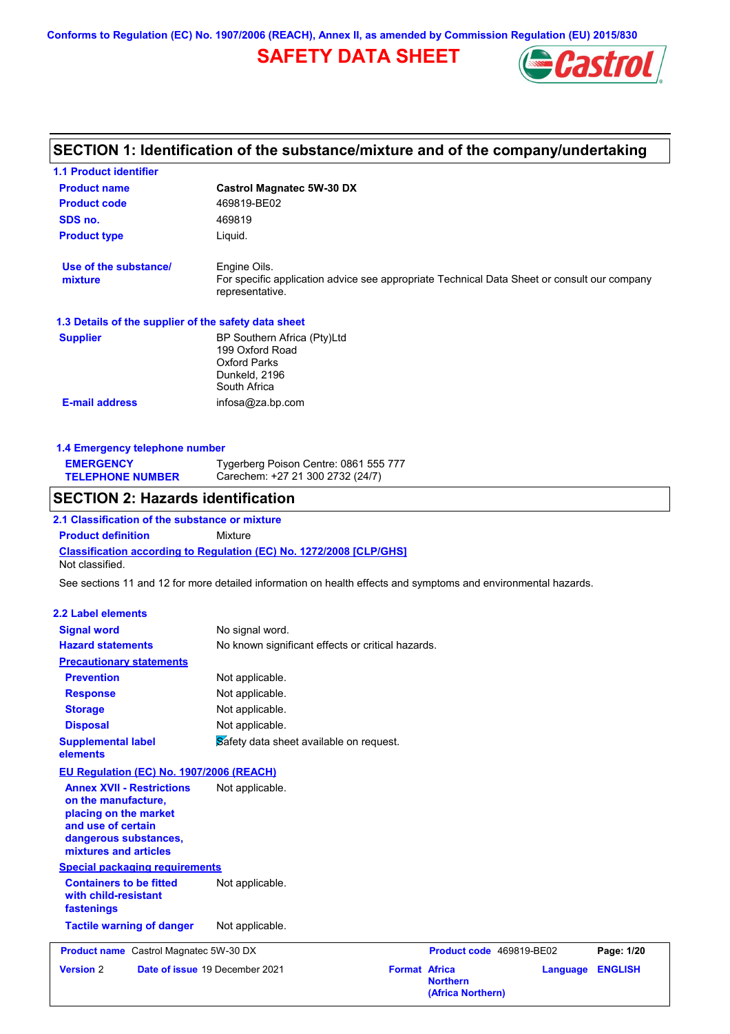## **SAFETY DATA SHEET**



## **SECTION 1: Identification of the substance/mixture and of the company/undertaking**

| <b>1.1 Product identifier</b>                                                                                                                            |                                                                                                                                |                                                              |                 |                |
|----------------------------------------------------------------------------------------------------------------------------------------------------------|--------------------------------------------------------------------------------------------------------------------------------|--------------------------------------------------------------|-----------------|----------------|
| <b>Product name</b>                                                                                                                                      | <b>Castrol Magnatec 5W-30 DX</b>                                                                                               |                                                              |                 |                |
| <b>Product code</b>                                                                                                                                      | 469819-BE02                                                                                                                    |                                                              |                 |                |
| SDS no.                                                                                                                                                  | 469819                                                                                                                         |                                                              |                 |                |
| <b>Product type</b>                                                                                                                                      | Liquid.                                                                                                                        |                                                              |                 |                |
| Use of the substance/<br>mixture                                                                                                                         | Engine Oils.<br>For specific application advice see appropriate Technical Data Sheet or consult our company<br>representative. |                                                              |                 |                |
| 1.3 Details of the supplier of the safety data sheet                                                                                                     |                                                                                                                                |                                                              |                 |                |
| <b>Supplier</b>                                                                                                                                          | BP Southern Africa (Pty)Ltd<br>199 Oxford Road<br><b>Oxford Parks</b><br>Dunkeld, 2196<br>South Africa                         |                                                              |                 |                |
| <b>E-mail address</b>                                                                                                                                    | infosa@za.bp.com                                                                                                               |                                                              |                 |                |
| 1.4 Emergency telephone number                                                                                                                           |                                                                                                                                |                                                              |                 |                |
| <b>EMERGENCY</b><br><b>TELEPHONE NUMBER</b>                                                                                                              | Tygerberg Poison Centre: 0861 555 777<br>Carechem: +27 21 300 2732 (24/7)                                                      |                                                              |                 |                |
| <b>SECTION 2: Hazards identification</b>                                                                                                                 |                                                                                                                                |                                                              |                 |                |
| 2.1 Classification of the substance or mixture                                                                                                           |                                                                                                                                |                                                              |                 |                |
| <b>Product definition</b>                                                                                                                                | <b>Mixture</b>                                                                                                                 |                                                              |                 |                |
| Not classified.                                                                                                                                          | Classification according to Regulation (EC) No. 1272/2008 [CLP/GHS]                                                            |                                                              |                 |                |
|                                                                                                                                                          | See sections 11 and 12 for more detailed information on health effects and symptoms and environmental hazards.                 |                                                              |                 |                |
|                                                                                                                                                          |                                                                                                                                |                                                              |                 |                |
| <b>2.2 Label elements</b>                                                                                                                                |                                                                                                                                |                                                              |                 |                |
| <b>Signal word</b>                                                                                                                                       | No signal word.                                                                                                                |                                                              |                 |                |
| <b>Hazard statements</b>                                                                                                                                 | No known significant effects or critical hazards.                                                                              |                                                              |                 |                |
| <b>Precautionary statements</b>                                                                                                                          |                                                                                                                                |                                                              |                 |                |
| <b>Prevention</b>                                                                                                                                        | Not applicable.                                                                                                                |                                                              |                 |                |
| <b>Response</b>                                                                                                                                          | Not applicable.                                                                                                                |                                                              |                 |                |
| <b>Storage</b>                                                                                                                                           | Not applicable.                                                                                                                |                                                              |                 |                |
| <b>Disposal</b>                                                                                                                                          | Not applicable.                                                                                                                |                                                              |                 |                |
| <b>Supplemental label</b><br>elements                                                                                                                    | Safety data sheet available on request.                                                                                        |                                                              |                 |                |
| EU Regulation (EC) No. 1907/2006 (REACH)                                                                                                                 |                                                                                                                                |                                                              |                 |                |
| <b>Annex XVII - Restrictions</b><br>on the manufacture,<br>placing on the market<br>and use of certain<br>dangerous substances,<br>mixtures and articles | Not applicable.                                                                                                                |                                                              |                 |                |
| <b>Special packaging requirements</b>                                                                                                                    |                                                                                                                                |                                                              |                 |                |
| <b>Containers to be fitted</b><br>with child-resistant<br>fastenings                                                                                     | Not applicable.                                                                                                                |                                                              |                 |                |
| <b>Tactile warning of danger</b>                                                                                                                         | Not applicable.                                                                                                                |                                                              |                 |                |
| <b>Product name</b> Castrol Magnatec 5W-30 DX                                                                                                            |                                                                                                                                | Product code 469819-BE02                                     |                 | Page: 1/20     |
| <b>Version 2</b>                                                                                                                                         | Date of issue 19 December 2021                                                                                                 | <b>Format Africa</b><br><b>Northern</b><br>(Africa Northern) | <b>Language</b> | <b>ENGLISH</b> |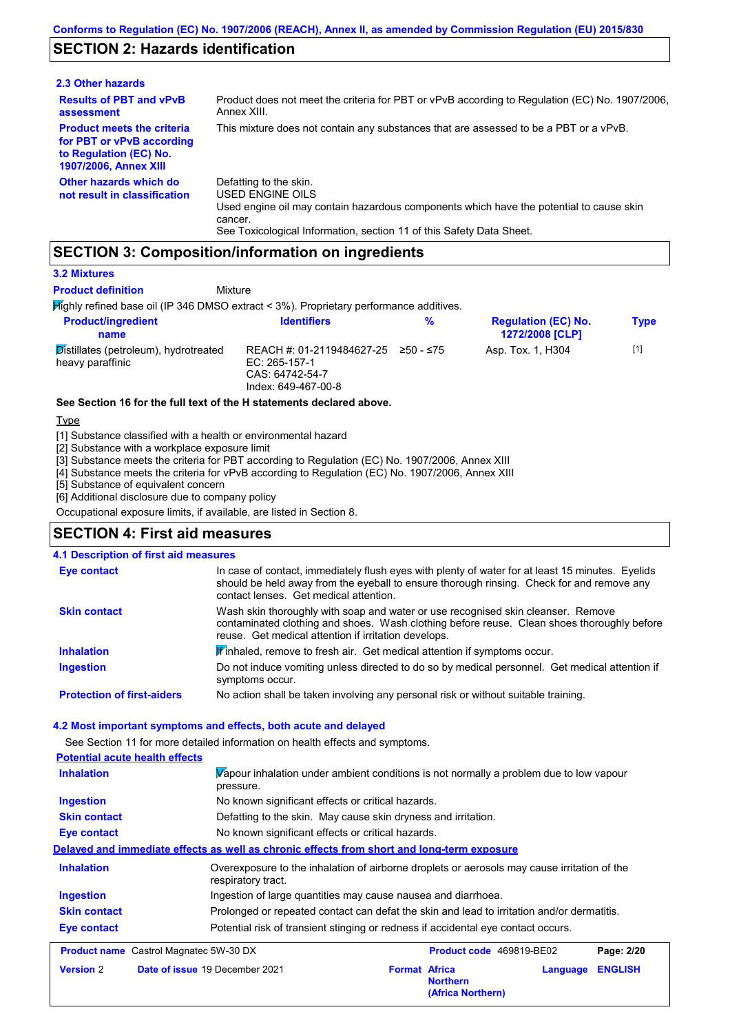## **SECTION 2: Hazards identification**

| 2.3 Other hazards                                                                                                        |                                                                                                                                                                                                                                 |
|--------------------------------------------------------------------------------------------------------------------------|---------------------------------------------------------------------------------------------------------------------------------------------------------------------------------------------------------------------------------|
| <b>Results of PBT and vPvB</b><br>assessment                                                                             | Product does not meet the criteria for PBT or vPvB according to Regulation (EC) No. 1907/2006,<br>Annex XIII.                                                                                                                   |
| <b>Product meets the criteria</b><br>for PBT or vPvB according<br>to Regulation (EC) No.<br><b>1907/2006, Annex XIII</b> | This mixture does not contain any substances that are assessed to be a PBT or a vPvB.                                                                                                                                           |
| Other hazards which do<br>not result in classification                                                                   | Defatting to the skin.<br><b>USED ENGINE OILS</b><br>Used engine oil may contain hazardous components which have the potential to cause skin<br>cancer.<br>See Toxicological Information, section 11 of this Safety Data Sheet. |

## **SECTION 3: Composition/information on ingredients**

Mixture

#### **3.2 Mixtures**

**Product definition**

Highly refined base oil (IP 346 DMSO extract < 3%). Proprietary performance additives.

| <b>Product/ingredient</b><br>name                         | <b>Identifiers</b>                                                                   | %         | <b>Regulation (EC) No.</b><br><b>1272/2008 [CLP]</b> | Type  |
|-----------------------------------------------------------|--------------------------------------------------------------------------------------|-----------|------------------------------------------------------|-------|
| Distillates (petroleum), hydrotreated<br>heavy paraffinic | REACH #: 01-2119484627-25<br>EC: 265-157-1<br>CAS: 64742-54-7<br>Index: 649-467-00-8 | 250 - ≤75 | Asp. Tox. 1, H304                                    | $[1]$ |

#### **See Section 16 for the full text of the H statements declared above.**

Type

[1] Substance classified with a health or environmental hazard

[2] Substance with a workplace exposure limit

[3] Substance meets the criteria for PBT according to Regulation (EC) No. 1907/2006, Annex XIII

[4] Substance meets the criteria for vPvB according to Regulation (EC) No. 1907/2006, Annex XIII

[5] Substance of equivalent concern

[6] Additional disclosure due to company policy

Occupational exposure limits, if available, are listed in Section 8.

#### **SECTION 4: First aid measures**

| <b>4.1 Description of first aid measures</b> |                                                                                                                                                                                                                                         |
|----------------------------------------------|-----------------------------------------------------------------------------------------------------------------------------------------------------------------------------------------------------------------------------------------|
| <b>Eye contact</b>                           | In case of contact, immediately flush eyes with plenty of water for at least 15 minutes. Eyelids<br>should be held away from the eyeball to ensure thorough rinsing. Check for and remove any<br>contact lenses. Get medical attention. |
| <b>Skin contact</b>                          | Wash skin thoroughly with soap and water or use recognised skin cleanser. Remove<br>contaminated clothing and shoes. Wash clothing before reuse. Clean shoes thoroughly before<br>reuse. Get medical attention if irritation develops.  |
| <b>Inhalation</b>                            | <b>If</b> inhaled, remove to fresh air. Get medical attention if symptoms occur.                                                                                                                                                        |
| Ingestion                                    | Do not induce vomiting unless directed to do so by medical personnel. Get medical attention if<br>symptoms occur.                                                                                                                       |
| <b>Protection of first-aiders</b>            | No action shall be taken involving any personal risk or without suitable training.                                                                                                                                                      |

#### **4.2 Most important symptoms and effects, both acute and delayed**

See Section 11 for more detailed information on health effects and symptoms.

| <b>Potential acute health effects</b> |                                                                                                                   |                                                              |          |                |
|---------------------------------------|-------------------------------------------------------------------------------------------------------------------|--------------------------------------------------------------|----------|----------------|
| <b>Inhalation</b>                     | Vapour inhalation under ambient conditions is not normally a problem due to low vapour<br>pressure.               |                                                              |          |                |
| <b>Ingestion</b>                      | No known significant effects or critical hazards.                                                                 |                                                              |          |                |
| <b>Skin contact</b>                   | Defatting to the skin. May cause skin dryness and irritation.                                                     |                                                              |          |                |
| Eye contact                           | No known significant effects or critical hazards.                                                                 |                                                              |          |                |
|                                       | Delayed and immediate effects as well as chronic effects from short and long-term exposure                        |                                                              |          |                |
| <b>Inhalation</b>                     | Overexposure to the inhalation of airborne droplets or aerosols may cause irritation of the<br>respiratory tract. |                                                              |          |                |
| <b>Ingestion</b>                      | Ingestion of large quantities may cause nausea and diarrhoea.                                                     |                                                              |          |                |
| <b>Skin contact</b>                   | Prolonged or repeated contact can defat the skin and lead to irritation and/or dermatitis.                        |                                                              |          |                |
| Eye contact                           | Potential risk of transient stinging or redness if accidental eye contact occurs.                                 |                                                              |          |                |
|                                       | <b>Product name</b> Castrol Magnatec 5W-30 DX                                                                     | Product code 469819-BE02                                     |          | Page: 2/20     |
| <b>Version 2</b>                      | Date of issue 19 December 2021                                                                                    | <b>Format Africa</b><br><b>Northern</b><br>(Africa Northern) | Language | <b>ENGLISH</b> |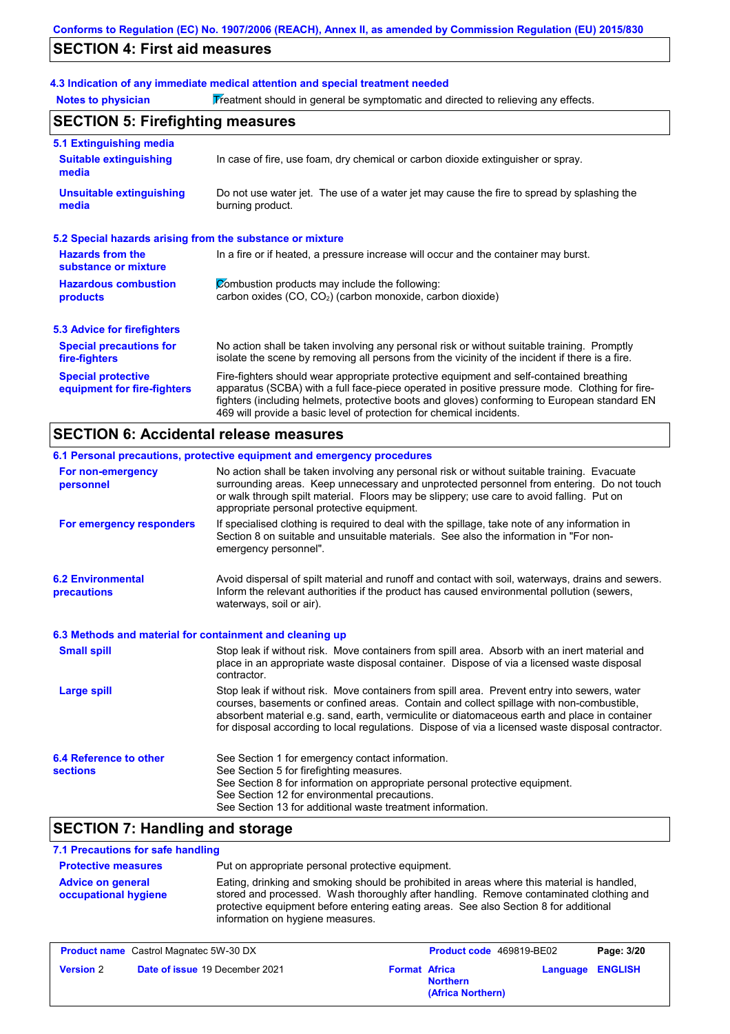## **SECTION 4: First aid measures**

## **4.3 Indication of any immediate medical attention and special treatment needed**

Notes to physician **Treatment should in general be symptomatic and directed to relieving any effects.** 

| <b>SECTION 5: Firefighting measures</b>                   |                                                                                                                                                                                                                                                                                                                                                                   |  |
|-----------------------------------------------------------|-------------------------------------------------------------------------------------------------------------------------------------------------------------------------------------------------------------------------------------------------------------------------------------------------------------------------------------------------------------------|--|
| 5.1 Extinguishing media                                   |                                                                                                                                                                                                                                                                                                                                                                   |  |
| <b>Suitable extinguishing</b><br>media                    | In case of fire, use foam, dry chemical or carbon dioxide extinguisher or spray.                                                                                                                                                                                                                                                                                  |  |
| <b>Unsuitable extinguishing</b><br>media                  | Do not use water jet. The use of a water jet may cause the fire to spread by splashing the<br>burning product.                                                                                                                                                                                                                                                    |  |
| 5.2 Special hazards arising from the substance or mixture |                                                                                                                                                                                                                                                                                                                                                                   |  |
| <b>Hazards from the</b><br>substance or mixture           | In a fire or if heated, a pressure increase will occur and the container may burst.                                                                                                                                                                                                                                                                               |  |
| <b>Hazardous combustion</b>                               | Combustion products may include the following:                                                                                                                                                                                                                                                                                                                    |  |
| products                                                  | carbon oxides (CO, CO <sub>2</sub> ) (carbon monoxide, carbon dioxide)                                                                                                                                                                                                                                                                                            |  |
| 5.3 Advice for firefighters                               |                                                                                                                                                                                                                                                                                                                                                                   |  |
| <b>Special precautions for</b><br>fire-fighters           | No action shall be taken involving any personal risk or without suitable training. Promptly<br>isolate the scene by removing all persons from the vicinity of the incident if there is a fire.                                                                                                                                                                    |  |
| <b>Special protective</b><br>equipment for fire-fighters  | Fire-fighters should wear appropriate protective equipment and self-contained breathing<br>apparatus (SCBA) with a full face-piece operated in positive pressure mode. Clothing for fire-<br>fighters (including helmets, protective boots and gloves) conforming to European standard EN<br>469 will provide a basic level of protection for chemical incidents. |  |

## **SECTION 6: Accidental release measures**

|                                                          | 6.1 Personal precautions, protective equipment and emergency procedures                                                                                                                                                                                                                                                                                                                        |
|----------------------------------------------------------|------------------------------------------------------------------------------------------------------------------------------------------------------------------------------------------------------------------------------------------------------------------------------------------------------------------------------------------------------------------------------------------------|
| For non-emergency<br>personnel                           | No action shall be taken involving any personal risk or without suitable training. Evacuate<br>surrounding areas. Keep unnecessary and unprotected personnel from entering. Do not touch<br>or walk through spilt material. Floors may be slippery; use care to avoid falling. Put on<br>appropriate personal protective equipment.                                                            |
| For emergency responders                                 | If specialised clothing is required to deal with the spillage, take note of any information in<br>Section 8 on suitable and unsuitable materials. See also the information in "For non-<br>emergency personnel".                                                                                                                                                                               |
| <b>6.2 Environmental</b><br>precautions                  | Avoid dispersal of spilt material and runoff and contact with soil, waterways, drains and sewers.<br>Inform the relevant authorities if the product has caused environmental pollution (sewers,<br>waterways, soil or air).                                                                                                                                                                    |
| 6.3 Methods and material for containment and cleaning up |                                                                                                                                                                                                                                                                                                                                                                                                |
| <b>Small spill</b>                                       | Stop leak if without risk. Move containers from spill area. Absorb with an inert material and<br>place in an appropriate waste disposal container. Dispose of via a licensed waste disposal<br>contractor.                                                                                                                                                                                     |
| <b>Large spill</b>                                       | Stop leak if without risk. Move containers from spill area. Prevent entry into sewers, water<br>courses, basements or confined areas. Contain and collect spillage with non-combustible,<br>absorbent material e.g. sand, earth, vermiculite or diatomaceous earth and place in container<br>for disposal according to local regulations. Dispose of via a licensed waste disposal contractor. |
| 6.4 Reference to other<br><b>sections</b>                | See Section 1 for emergency contact information.<br>See Section 5 for firefighting measures.<br>See Section 8 for information on appropriate personal protective equipment.<br>See Section 12 for environmental precautions.<br>See Section 13 for additional waste treatment information.                                                                                                     |

## **SECTION 7: Handling and storage**

#### **7.1 Precautions for safe handling**

| <b>Protective measures</b>                              | Put on appropriate personal protective equipment.                                                                                                                                                                                                                                                                |
|---------------------------------------------------------|------------------------------------------------------------------------------------------------------------------------------------------------------------------------------------------------------------------------------------------------------------------------------------------------------------------|
| <b>Advice on general</b><br><b>occupational hygiene</b> | Eating, drinking and smoking should be prohibited in areas where this material is handled,<br>stored and processed. Wash thoroughly after handling. Remove contaminated clothing and<br>protective equipment before entering eating areas. See also Section 8 for additional<br>information on hygiene measures. |

| <b>Product name</b> Castrol Magnatec 5W-30 DX |                                       | Product code 469819-BE02 |                                      | Page: 3/20 |                  |
|-----------------------------------------------|---------------------------------------|--------------------------|--------------------------------------|------------|------------------|
| <b>Version 2</b>                              | <b>Date of issue 19 December 2021</b> | <b>Format Africa</b>     | <b>Northern</b><br>(Africa Northern) |            | Language ENGLISH |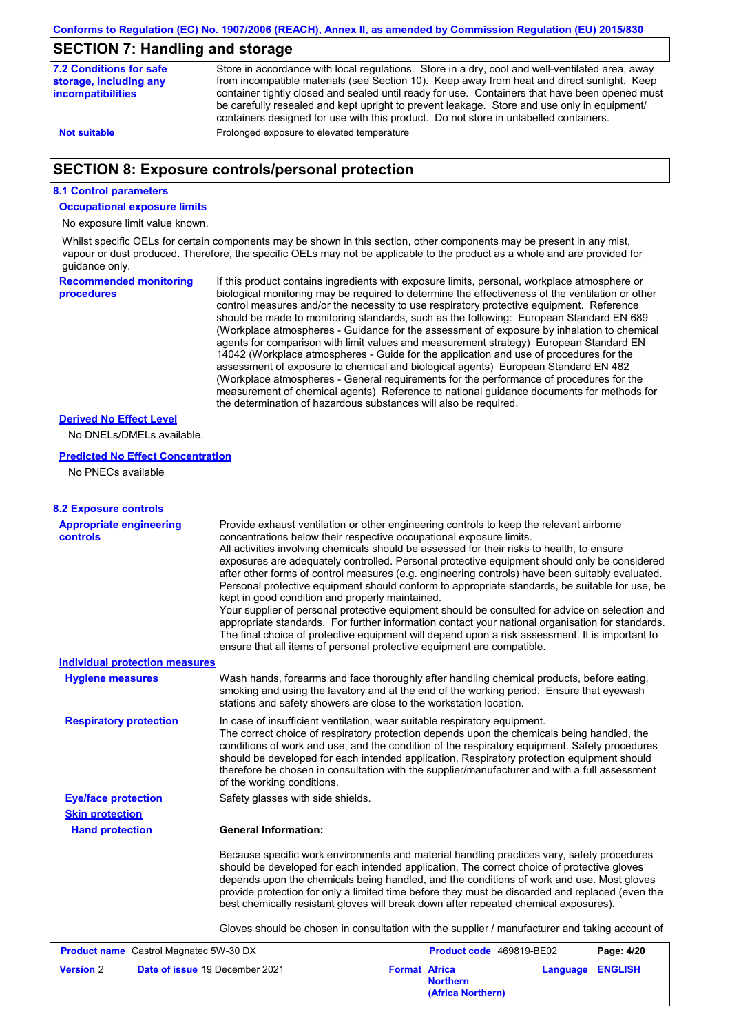### **SECTION 7: Handling and storage**

| <b>7.2 Conditions for safe</b><br>storage, including any<br><b>incompatibilities</b> | Store in accordance with local requlations. Store in a dry, cool and well-ventilated area, away<br>from incompatible materials (see Section 10). Keep away from heat and direct sunlight. Keep<br>container tightly closed and sealed until ready for use. Containers that have been opened must<br>be carefully resealed and kept upright to prevent leakage. Store and use only in equipment/<br>containers designed for use with this product. Do not store in unlabelled containers. |
|--------------------------------------------------------------------------------------|------------------------------------------------------------------------------------------------------------------------------------------------------------------------------------------------------------------------------------------------------------------------------------------------------------------------------------------------------------------------------------------------------------------------------------------------------------------------------------------|
| <b>Not suitable</b>                                                                  | Prolonged exposure to elevated temperature                                                                                                                                                                                                                                                                                                                                                                                                                                               |
|                                                                                      |                                                                                                                                                                                                                                                                                                                                                                                                                                                                                          |

## **SECTION 8: Exposure controls/personal protection**

#### **8.1 Control parameters**

**Occupational exposure limits**

No exposure limit value known.

Whilst specific OELs for certain components may be shown in this section, other components may be present in any mist, vapour or dust produced. Therefore, the specific OELs may not be applicable to the product as a whole and are provided for guidance only.

**Recommended monitoring procedures** If this product contains ingredients with exposure limits, personal, workplace atmosphere or biological monitoring may be required to determine the effectiveness of the ventilation or other control measures and/or the necessity to use respiratory protective equipment. Reference should be made to monitoring standards, such as the following: European Standard EN 689 (Workplace atmospheres - Guidance for the assessment of exposure by inhalation to chemical agents for comparison with limit values and measurement strategy) European Standard EN 14042 (Workplace atmospheres - Guide for the application and use of procedures for the assessment of exposure to chemical and biological agents) European Standard EN 482 (Workplace atmospheres - General requirements for the performance of procedures for the measurement of chemical agents) Reference to national guidance documents for methods for the determination of hazardous substances will also be required.

#### **Derived No Effect Level**

No DNELs/DMELs available.

#### **Predicted No Effect Concentration**

No PNECs available

| <b>8.2 Exposure controls</b>                       |                                                                                                                                                                                                                                                                                                                                                                                                                                                                                                                                                                                                                                                                                                                                                                                                                                                                                                                                                                                                         |                                         |          |                |
|----------------------------------------------------|---------------------------------------------------------------------------------------------------------------------------------------------------------------------------------------------------------------------------------------------------------------------------------------------------------------------------------------------------------------------------------------------------------------------------------------------------------------------------------------------------------------------------------------------------------------------------------------------------------------------------------------------------------------------------------------------------------------------------------------------------------------------------------------------------------------------------------------------------------------------------------------------------------------------------------------------------------------------------------------------------------|-----------------------------------------|----------|----------------|
| <b>Appropriate engineering</b><br><b>controls</b>  | Provide exhaust ventilation or other engineering controls to keep the relevant airborne<br>concentrations below their respective occupational exposure limits.<br>All activities involving chemicals should be assessed for their risks to health, to ensure<br>exposures are adequately controlled. Personal protective equipment should only be considered<br>after other forms of control measures (e.g. engineering controls) have been suitably evaluated.<br>Personal protective equipment should conform to appropriate standards, be suitable for use, be<br>kept in good condition and properly maintained.<br>Your supplier of personal protective equipment should be consulted for advice on selection and<br>appropriate standards. For further information contact your national organisation for standards.<br>The final choice of protective equipment will depend upon a risk assessment. It is important to<br>ensure that all items of personal protective equipment are compatible. |                                         |          |                |
| <b>Individual protection measures</b>              |                                                                                                                                                                                                                                                                                                                                                                                                                                                                                                                                                                                                                                                                                                                                                                                                                                                                                                                                                                                                         |                                         |          |                |
| <b>Hygiene measures</b>                            | Wash hands, forearms and face thoroughly after handling chemical products, before eating,<br>smoking and using the lavatory and at the end of the working period. Ensure that eyewash<br>stations and safety showers are close to the workstation location.                                                                                                                                                                                                                                                                                                                                                                                                                                                                                                                                                                                                                                                                                                                                             |                                         |          |                |
| <b>Respiratory protection</b>                      | In case of insufficient ventilation, wear suitable respiratory equipment.<br>The correct choice of respiratory protection depends upon the chemicals being handled, the<br>conditions of work and use, and the condition of the respiratory equipment. Safety procedures<br>should be developed for each intended application. Respiratory protection equipment should<br>therefore be chosen in consultation with the supplier/manufacturer and with a full assessment<br>of the working conditions.                                                                                                                                                                                                                                                                                                                                                                                                                                                                                                   |                                         |          |                |
| <b>Eye/face protection</b>                         | Safety glasses with side shields.                                                                                                                                                                                                                                                                                                                                                                                                                                                                                                                                                                                                                                                                                                                                                                                                                                                                                                                                                                       |                                         |          |                |
| <b>Skin protection</b>                             |                                                                                                                                                                                                                                                                                                                                                                                                                                                                                                                                                                                                                                                                                                                                                                                                                                                                                                                                                                                                         |                                         |          |                |
| <b>Hand protection</b>                             | <b>General Information:</b>                                                                                                                                                                                                                                                                                                                                                                                                                                                                                                                                                                                                                                                                                                                                                                                                                                                                                                                                                                             |                                         |          |                |
|                                                    | Because specific work environments and material handling practices vary, safety procedures<br>should be developed for each intended application. The correct choice of protective gloves<br>depends upon the chemicals being handled, and the conditions of work and use. Most gloves<br>provide protection for only a limited time before they must be discarded and replaced (even the<br>best chemically resistant gloves will break down after repeated chemical exposures).                                                                                                                                                                                                                                                                                                                                                                                                                                                                                                                        |                                         |          |                |
|                                                    | Gloves should be chosen in consultation with the supplier / manufacturer and taking account of                                                                                                                                                                                                                                                                                                                                                                                                                                                                                                                                                                                                                                                                                                                                                                                                                                                                                                          |                                         |          |                |
| <b>Product name</b> Castrol Magnatec 5W-30 DX      |                                                                                                                                                                                                                                                                                                                                                                                                                                                                                                                                                                                                                                                                                                                                                                                                                                                                                                                                                                                                         | Product code 469819-BE02                |          | Page: 4/20     |
| Date of issue 19 December 2021<br><b>Version 2</b> |                                                                                                                                                                                                                                                                                                                                                                                                                                                                                                                                                                                                                                                                                                                                                                                                                                                                                                                                                                                                         | <b>Format Africa</b><br><b>Northern</b> | Language | <b>ENGLISH</b> |

**(Africa Northern)**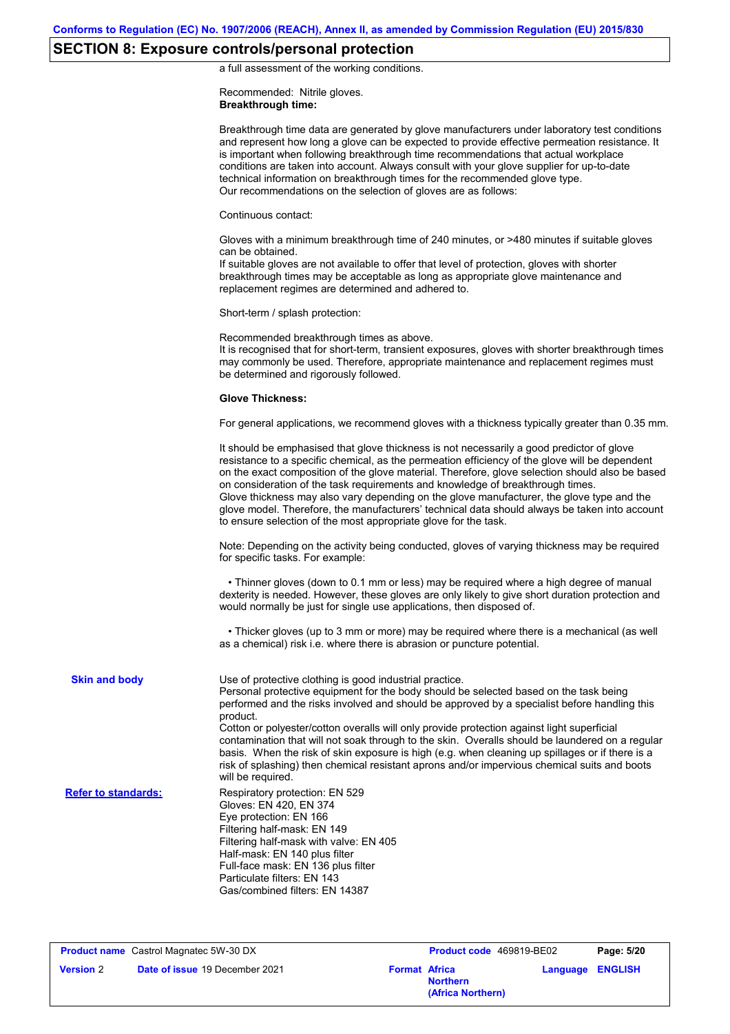## **SECTION 8: Exposure controls/personal protection**

a full assessment of the working conditions.

Recommended: Nitrile gloves. **Breakthrough time:**

|                            | Breakthrough time data are generated by glove manufacturers under laboratory test conditions<br>and represent how long a glove can be expected to provide effective permeation resistance. It<br>is important when following breakthrough time recommendations that actual workplace<br>conditions are taken into account. Always consult with your glove supplier for up-to-date<br>technical information on breakthrough times for the recommended glove type.<br>Our recommendations on the selection of gloves are as follows:                                                                                                                               |
|----------------------------|------------------------------------------------------------------------------------------------------------------------------------------------------------------------------------------------------------------------------------------------------------------------------------------------------------------------------------------------------------------------------------------------------------------------------------------------------------------------------------------------------------------------------------------------------------------------------------------------------------------------------------------------------------------|
|                            | Continuous contact:                                                                                                                                                                                                                                                                                                                                                                                                                                                                                                                                                                                                                                              |
|                            | Gloves with a minimum breakthrough time of 240 minutes, or >480 minutes if suitable gloves<br>can be obtained.<br>If suitable gloves are not available to offer that level of protection, gloves with shorter<br>breakthrough times may be acceptable as long as appropriate glove maintenance and<br>replacement regimes are determined and adhered to.                                                                                                                                                                                                                                                                                                         |
|                            | Short-term / splash protection:                                                                                                                                                                                                                                                                                                                                                                                                                                                                                                                                                                                                                                  |
|                            | Recommended breakthrough times as above.<br>It is recognised that for short-term, transient exposures, gloves with shorter breakthrough times<br>may commonly be used. Therefore, appropriate maintenance and replacement regimes must<br>be determined and rigorously followed.                                                                                                                                                                                                                                                                                                                                                                                 |
|                            | <b>Glove Thickness:</b>                                                                                                                                                                                                                                                                                                                                                                                                                                                                                                                                                                                                                                          |
|                            | For general applications, we recommend gloves with a thickness typically greater than 0.35 mm.                                                                                                                                                                                                                                                                                                                                                                                                                                                                                                                                                                   |
|                            | It should be emphasised that glove thickness is not necessarily a good predictor of glove<br>resistance to a specific chemical, as the permeation efficiency of the glove will be dependent<br>on the exact composition of the glove material. Therefore, glove selection should also be based<br>on consideration of the task requirements and knowledge of breakthrough times.<br>Glove thickness may also vary depending on the glove manufacturer, the glove type and the<br>glove model. Therefore, the manufacturers' technical data should always be taken into account<br>to ensure selection of the most appropriate glove for the task.                |
|                            | Note: Depending on the activity being conducted, gloves of varying thickness may be required<br>for specific tasks. For example:                                                                                                                                                                                                                                                                                                                                                                                                                                                                                                                                 |
|                            | • Thinner gloves (down to 0.1 mm or less) may be required where a high degree of manual<br>dexterity is needed. However, these gloves are only likely to give short duration protection and<br>would normally be just for single use applications, then disposed of.                                                                                                                                                                                                                                                                                                                                                                                             |
|                            | • Thicker gloves (up to 3 mm or more) may be required where there is a mechanical (as well<br>as a chemical) risk i.e. where there is abrasion or puncture potential.                                                                                                                                                                                                                                                                                                                                                                                                                                                                                            |
| <b>Skin and body</b>       | Use of protective clothing is good industrial practice.<br>Personal protective equipment for the body should be selected based on the task being<br>performed and the risks involved and should be approved by a specialist before handling this<br>product.<br>Cotton or polyester/cotton overalls will only provide protection against light superficial<br>contamination that will not soak through to the skin. Overalls should be laundered on a regular<br>basis. When the risk of skin exposure is high (e.g. when cleaning up spillages or if there is a<br>risk of splashing) then chemical resistant aprons and/or impervious chemical suits and boots |
| <b>Refer to standards:</b> | will be required.<br>Respiratory protection: EN 529<br>Gloves: EN 420, EN 374<br>Eye protection: EN 166<br>Filtering half-mask: EN 149<br>Filtering half-mask with valve: EN 405<br>Half-mask: EN 140 plus filter<br>Full-face mask: EN 136 plus filter<br>Particulate filters: EN 143<br>Gas/combined filters: EN 14387                                                                                                                                                                                                                                                                                                                                         |

**Product name** Castrol Magnatec 5W-30 DX **Product code** 469819-BE02 **Page: 5/20 Version** 2 **Date of issue** 19 December 2021 **Format Africa Northern Language ENGLISH (Africa Northern)**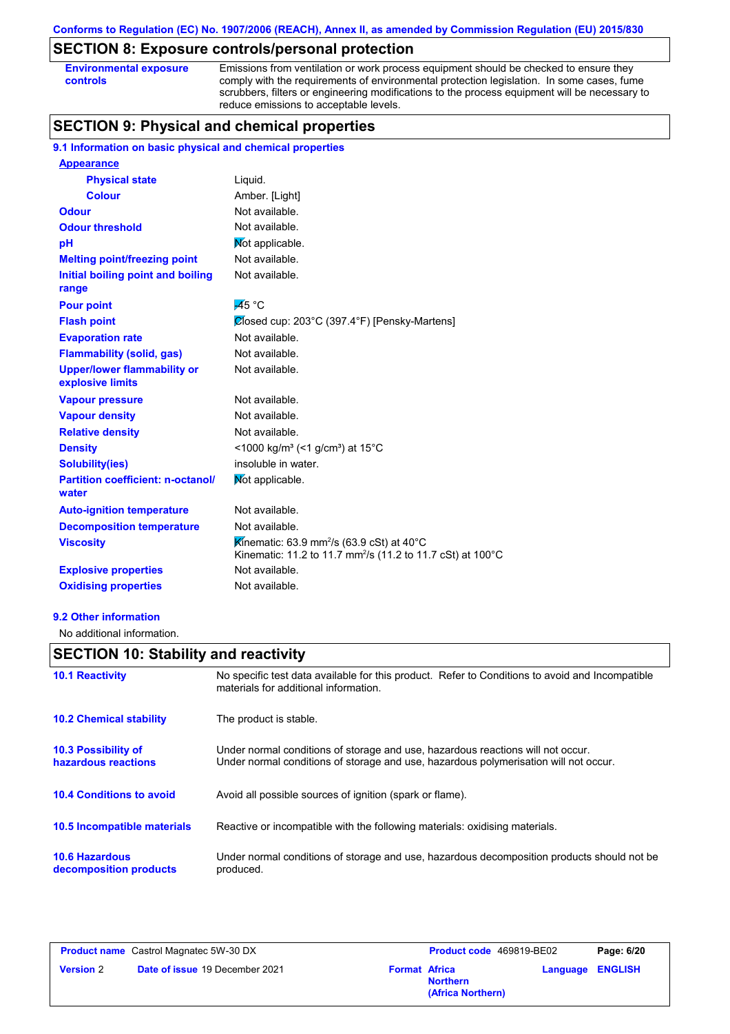## **SECTION 8: Exposure controls/personal protection**

**Environmental exposure controls**

Emissions from ventilation or work process equipment should be checked to ensure they comply with the requirements of environmental protection legislation. In some cases, fume scrubbers, filters or engineering modifications to the process equipment will be necessary to reduce emissions to acceptable levels.

## **SECTION 9: Physical and chemical properties**

#### **9.1 Information on basic physical and chemical properties**

| <b>Appearance</b>                                      |                                                                                                                                            |
|--------------------------------------------------------|--------------------------------------------------------------------------------------------------------------------------------------------|
| <b>Physical state</b>                                  | Liquid.                                                                                                                                    |
| <b>Colour</b>                                          | Amber. [Light]                                                                                                                             |
| <b>Odour</b>                                           | Not available.                                                                                                                             |
| <b>Odour threshold</b>                                 | Not available.                                                                                                                             |
| pH                                                     | Mot applicable.                                                                                                                            |
| <b>Melting point/freezing point</b>                    | Not available.                                                                                                                             |
| Initial boiling point and boiling<br>range             | Not available.                                                                                                                             |
| <b>Pour point</b>                                      | $\overline{45}$ °C                                                                                                                         |
| <b>Flash point</b>                                     | Closed cup: 203°C (397.4°F) [Pensky-Martens]                                                                                               |
| <b>Evaporation rate</b>                                | Not available.                                                                                                                             |
| <b>Flammability (solid, gas)</b>                       | Not available.                                                                                                                             |
| <b>Upper/lower flammability or</b><br>explosive limits | Not available.                                                                                                                             |
| <b>Vapour pressure</b>                                 | Not available.                                                                                                                             |
| <b>Vapour density</b>                                  | Not available.                                                                                                                             |
| <b>Relative density</b>                                | Not available.                                                                                                                             |
| <b>Density</b>                                         | <1000 kg/m <sup>3</sup> (<1 g/cm <sup>3</sup> ) at 15 <sup>°</sup> C                                                                       |
| <b>Solubility(ies)</b>                                 | insoluble in water.                                                                                                                        |
| <b>Partition coefficient: n-octanol/</b><br>water      | Mot applicable.                                                                                                                            |
| <b>Auto-ignition temperature</b>                       | Not available.                                                                                                                             |
| <b>Decomposition temperature</b>                       | Not available.                                                                                                                             |
| <b>Viscosity</b>                                       | Kinematic: 63.9 mm <sup>2</sup> /s (63.9 cSt) at 40 $^{\circ}$ C<br>Kinematic: 11.2 to 11.7 mm <sup>2</sup> /s (11.2 to 11.7 cSt) at 100°C |
| <b>Explosive properties</b>                            | Not available.                                                                                                                             |
| <b>Oxidising properties</b>                            | Not available.                                                                                                                             |

#### **9.2 Other information**

No additional information.

## **SECTION 10: Stability and reactivity**

| <b>10.1 Reactivity</b>                            | No specific test data available for this product. Refer to Conditions to avoid and Incompatible<br>materials for additional information.                                |
|---------------------------------------------------|-------------------------------------------------------------------------------------------------------------------------------------------------------------------------|
| <b>10.2 Chemical stability</b>                    | The product is stable.                                                                                                                                                  |
| <b>10.3 Possibility of</b><br>hazardous reactions | Under normal conditions of storage and use, hazardous reactions will not occur.<br>Under normal conditions of storage and use, hazardous polymerisation will not occur. |
| <b>10.4 Conditions to avoid</b>                   | Avoid all possible sources of ignition (spark or flame).                                                                                                                |
| <b>10.5 Incompatible materials</b>                | Reactive or incompatible with the following materials: oxidising materials.                                                                                             |
| <b>10.6 Hazardous</b><br>decomposition products   | Under normal conditions of storage and use, hazardous decomposition products should not be<br>produced.                                                                 |

| <b>Product name</b> Castrol Magnatec 5W-30 DX |                                       | <b>Product code</b> 469819-BE02 |                                      | Page: 6/20              |  |
|-----------------------------------------------|---------------------------------------|---------------------------------|--------------------------------------|-------------------------|--|
| <b>Version 2</b>                              | <b>Date of issue 19 December 2021</b> | <b>Format Africa</b>            | <b>Northern</b><br>(Africa Northern) | <b>Language ENGLISH</b> |  |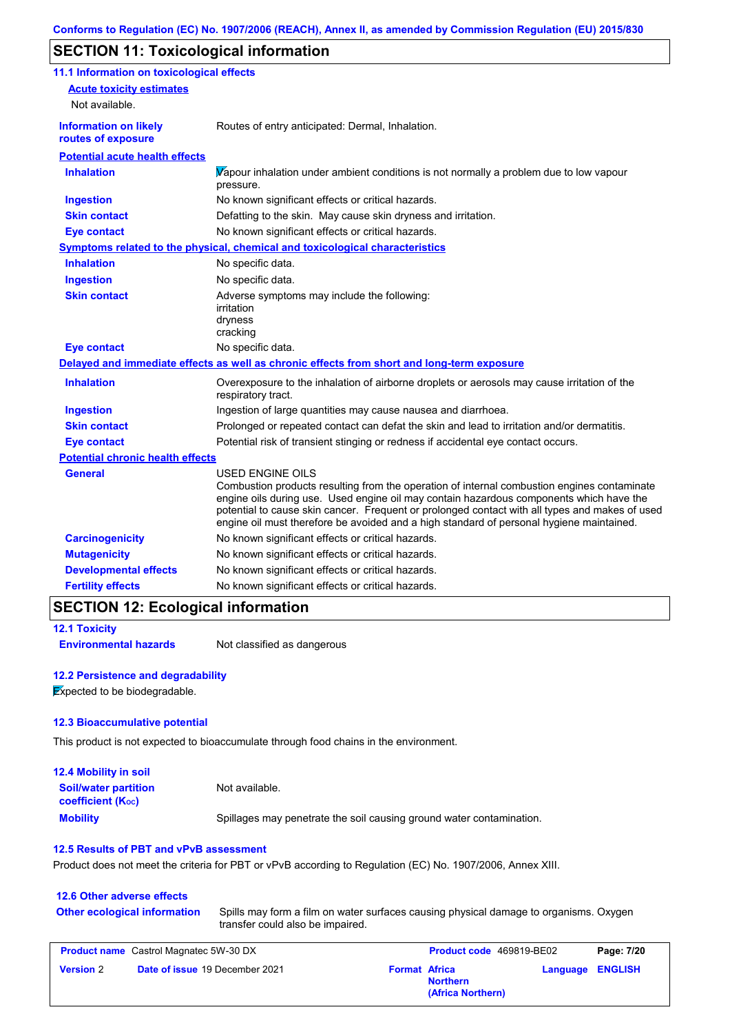## **SECTION 11: Toxicological information**

| 11.1 Information on toxicological effects          |                                                                                                                                                                                                                                                                                                                                                                                                                 |
|----------------------------------------------------|-----------------------------------------------------------------------------------------------------------------------------------------------------------------------------------------------------------------------------------------------------------------------------------------------------------------------------------------------------------------------------------------------------------------|
| <b>Acute toxicity estimates</b>                    |                                                                                                                                                                                                                                                                                                                                                                                                                 |
| Not available.                                     |                                                                                                                                                                                                                                                                                                                                                                                                                 |
| <b>Information on likely</b><br>routes of exposure | Routes of entry anticipated: Dermal, Inhalation.                                                                                                                                                                                                                                                                                                                                                                |
| <b>Potential acute health effects</b>              |                                                                                                                                                                                                                                                                                                                                                                                                                 |
| <b>Inhalation</b>                                  | Vapour inhalation under ambient conditions is not normally a problem due to low vapour<br>pressure.                                                                                                                                                                                                                                                                                                             |
| <b>Ingestion</b>                                   | No known significant effects or critical hazards.                                                                                                                                                                                                                                                                                                                                                               |
| <b>Skin contact</b>                                | Defatting to the skin. May cause skin dryness and irritation.                                                                                                                                                                                                                                                                                                                                                   |
| <b>Eye contact</b>                                 | No known significant effects or critical hazards.                                                                                                                                                                                                                                                                                                                                                               |
|                                                    | <b>Symptoms related to the physical, chemical and toxicological characteristics</b>                                                                                                                                                                                                                                                                                                                             |
| <b>Inhalation</b>                                  | No specific data.                                                                                                                                                                                                                                                                                                                                                                                               |
| <b>Ingestion</b>                                   | No specific data.                                                                                                                                                                                                                                                                                                                                                                                               |
| <b>Skin contact</b>                                | Adverse symptoms may include the following:<br>irritation<br>dryness<br>cracking                                                                                                                                                                                                                                                                                                                                |
| <b>Eye contact</b>                                 | No specific data.                                                                                                                                                                                                                                                                                                                                                                                               |
|                                                    | Delayed and immediate effects as well as chronic effects from short and long-term exposure                                                                                                                                                                                                                                                                                                                      |
| <b>Inhalation</b>                                  | Overexposure to the inhalation of airborne droplets or aerosols may cause irritation of the<br>respiratory tract.                                                                                                                                                                                                                                                                                               |
| <b>Ingestion</b>                                   | Ingestion of large quantities may cause nausea and diarrhoea.                                                                                                                                                                                                                                                                                                                                                   |
| <b>Skin contact</b>                                | Prolonged or repeated contact can defat the skin and lead to irritation and/or dermatitis.                                                                                                                                                                                                                                                                                                                      |
| <b>Eye contact</b>                                 | Potential risk of transient stinging or redness if accidental eye contact occurs.                                                                                                                                                                                                                                                                                                                               |
| <b>Potential chronic health effects</b>            |                                                                                                                                                                                                                                                                                                                                                                                                                 |
| <b>General</b>                                     | <b>USED ENGINE OILS</b><br>Combustion products resulting from the operation of internal combustion engines contaminate<br>engine oils during use. Used engine oil may contain hazardous components which have the<br>potential to cause skin cancer. Frequent or prolonged contact with all types and makes of used<br>engine oil must therefore be avoided and a high standard of personal hygiene maintained. |
| <b>Carcinogenicity</b>                             | No known significant effects or critical hazards.                                                                                                                                                                                                                                                                                                                                                               |
| <b>Mutagenicity</b>                                | No known significant effects or critical hazards.                                                                                                                                                                                                                                                                                                                                                               |
| <b>Developmental effects</b>                       | No known significant effects or critical hazards.                                                                                                                                                                                                                                                                                                                                                               |
| <b>Fertility effects</b>                           | No known significant effects or critical hazards.                                                                                                                                                                                                                                                                                                                                                               |

#### **SECTION 12: Ecological information**

## **12.1 Toxicity**

**Environmental hazards** Not classified as dangerous

#### **12.2 Persistence and degradability**

**Expected to be biodegradable.** 

#### **12.3 Bioaccumulative potential**

This product is not expected to bioaccumulate through food chains in the environment.

| <b>12.4 Mobility in soil</b>                            |                                                                      |
|---------------------------------------------------------|----------------------------------------------------------------------|
| <b>Soil/water partition</b><br><b>coefficient (Koc)</b> | Not available.                                                       |
| <b>Mobility</b>                                         | Spillages may penetrate the soil causing ground water contamination. |

#### **12.5 Results of PBT and vPvB assessment**

Product does not meet the criteria for PBT or vPvB according to Regulation (EC) No. 1907/2006, Annex XIII.

## **12.6 Other adverse effects**

#### **Other ecological information**

Spills may form a film on water surfaces causing physical damage to organisms. Oxygen transfer could also be impaired.

| <b>Product name</b> Castrol Magnatec 5W-30 DX |                                       | <b>Product code</b> 469819-BE02 |                                      | Page: 7/20              |  |
|-----------------------------------------------|---------------------------------------|---------------------------------|--------------------------------------|-------------------------|--|
| <b>Version 2</b>                              | <b>Date of issue 19 December 2021</b> | <b>Format Africa</b>            | <b>Northern</b><br>(Africa Northern) | <b>Language ENGLISH</b> |  |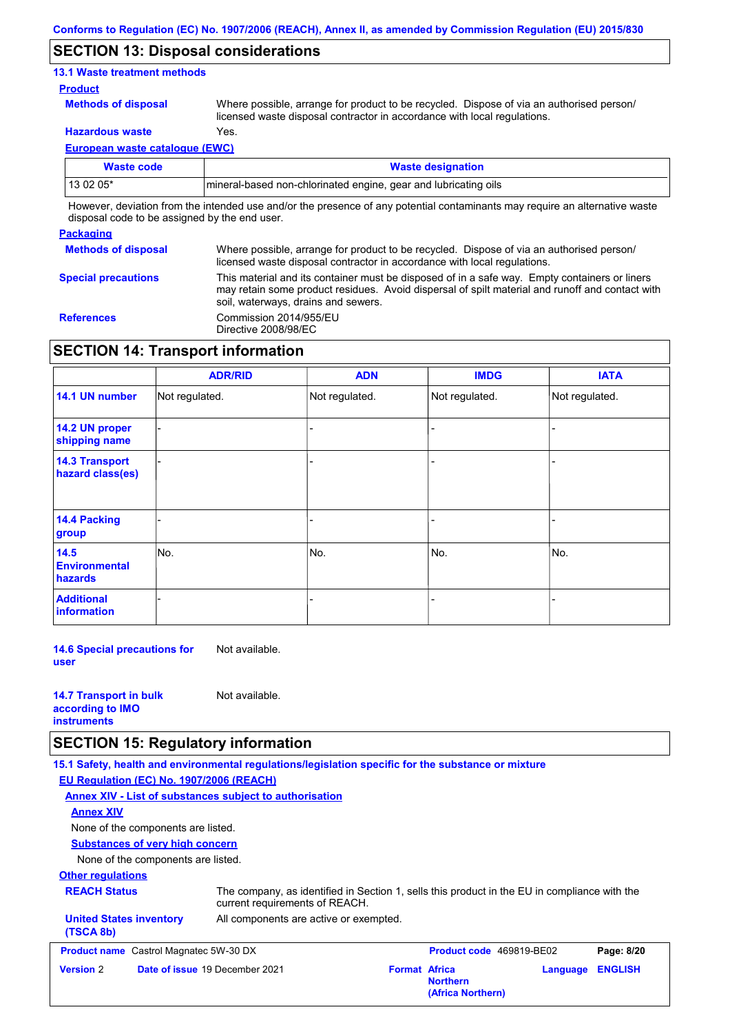#### **SECTION 13: Disposal considerations**

#### **13.1 Waste treatment methods**

#### **Product**

**Methods of disposal**

Where possible, arrange for product to be recycled. Dispose of via an authorised person/ licensed waste disposal contractor in accordance with local regulations.

**Hazardous waste** Yes.

**European waste catalogue (EWC)**

| Waste code | <b>Waste designation</b>                                                                                                    |  |  |  |  |
|------------|-----------------------------------------------------------------------------------------------------------------------------|--|--|--|--|
| $130205*$  | mineral-based non-chlorinated engine, gear and lubricating oils                                                             |  |  |  |  |
|            | However, deviation from the intended use and/or the presence of any potential contaminants may require an alternative waste |  |  |  |  |

disposal code to be assigned by the end user.

#### **Packaging Methods of disposal**

**Special precautions** Where possible, arrange for product to be recycled. Dispose of via an authorised person/ licensed waste disposal contractor in accordance with local regulations. This material and its container must be disposed of in a safe way. Empty containers or liners may retain some product residues. Avoid dispersal of spilt material and runoff and contact with soil, waterways, drains and sewers.

**References** Commission 2014/955/EU Directive 2008/98/EC

#### **SECTION 14: Transport information**

|                                           | <b>ADR/RID</b> | <b>ADN</b>     | <b>IMDG</b>    | <b>IATA</b>    |
|-------------------------------------------|----------------|----------------|----------------|----------------|
| 14.1 UN number                            | Not regulated. | Not regulated. | Not regulated. | Not regulated. |
| 14.2 UN proper<br>shipping name           |                |                |                |                |
| <b>14.3 Transport</b><br>hazard class(es) |                |                |                |                |
| 14.4 Packing<br>group                     |                |                |                |                |
| 14.5<br><b>Environmental</b><br>hazards   | No.            | No.            | No.            | No.            |
| <b>Additional</b><br>information          |                |                |                |                |

**14.6 Special precautions for user** Not available.

| <b>14.7 Transport in bulk</b> | Not available. |
|-------------------------------|----------------|
| according to <b>IMO</b>       |                |
| <b>instruments</b>            |                |

#### **SECTION 15: Regulatory information**

**15.1 Safety, health and environmental regulations/legislation specific for the substance or mixture**

**EU Regulation (EC) No. 1907/2006 (REACH)**

|                                               |                                        | Annex XIV - List of substances subject to authorisation                                                                        |                      |                                      |          |                |
|-----------------------------------------------|----------------------------------------|--------------------------------------------------------------------------------------------------------------------------------|----------------------|--------------------------------------|----------|----------------|
| <b>Annex XIV</b>                              |                                        |                                                                                                                                |                      |                                      |          |                |
|                                               | None of the components are listed.     |                                                                                                                                |                      |                                      |          |                |
|                                               | <b>Substances of very high concern</b> |                                                                                                                                |                      |                                      |          |                |
|                                               | None of the components are listed.     |                                                                                                                                |                      |                                      |          |                |
| <b>Other regulations</b>                      |                                        |                                                                                                                                |                      |                                      |          |                |
| <b>REACH Status</b>                           |                                        | The company, as identified in Section 1, sells this product in the EU in compliance with the<br>current requirements of REACH. |                      |                                      |          |                |
| <b>United States inventory</b><br>(TSCA 8b)   |                                        | All components are active or exempted.                                                                                         |                      |                                      |          |                |
| <b>Product name</b> Castrol Magnatec 5W-30 DX |                                        |                                                                                                                                |                      | Product code 469819-BE02             |          | Page: 8/20     |
| <b>Version 2</b>                              | Date of issue 19 December 2021         |                                                                                                                                | <b>Format Africa</b> | <b>Northern</b><br>(Africa Northern) | Language | <b>ENGLISH</b> |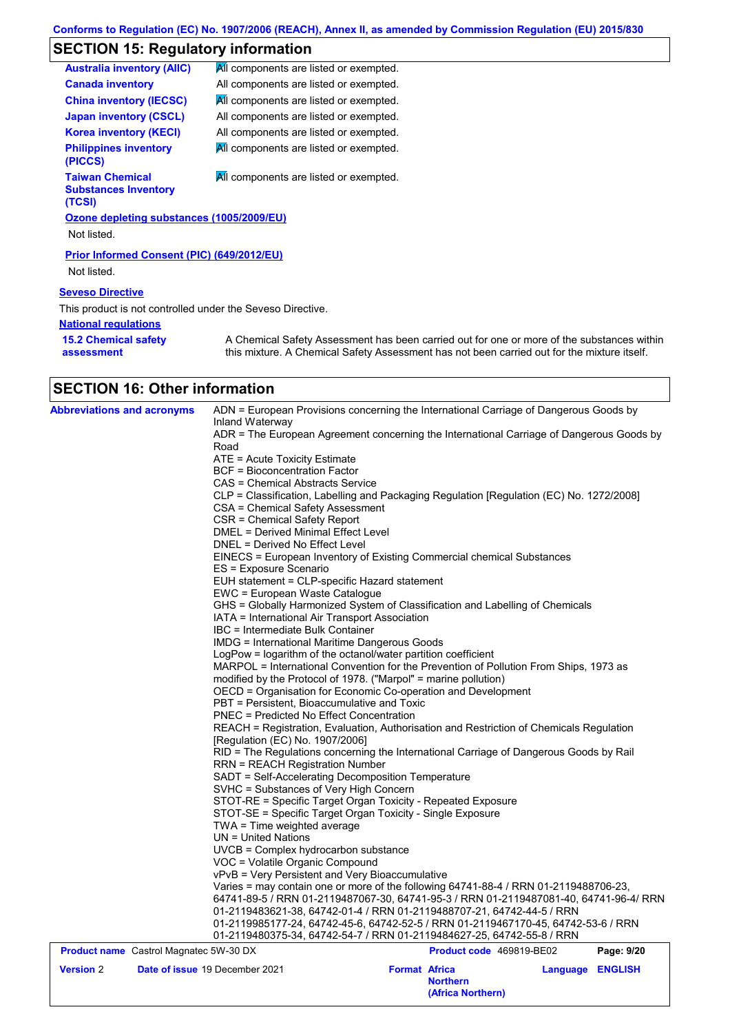## **SECTION 15: Regulatory information**

| <b>Australia inventory (AIIC)</b>                               | All components are listed or exempted.                                                                                                                                                    |
|-----------------------------------------------------------------|-------------------------------------------------------------------------------------------------------------------------------------------------------------------------------------------|
| <b>Canada inventory</b>                                         | All components are listed or exempted.                                                                                                                                                    |
| <b>China inventory (IECSC)</b>                                  | All components are listed or exempted.                                                                                                                                                    |
| <b>Japan inventory (CSCL)</b>                                   | All components are listed or exempted.                                                                                                                                                    |
| <b>Korea inventory (KECI)</b>                                   | All components are listed or exempted.                                                                                                                                                    |
| <b>Philippines inventory</b><br>(PICCS)                         | All components are listed or exempted.                                                                                                                                                    |
| <b>Taiwan Chemical</b><br><b>Substances Inventory</b><br>(TCSI) | All components are listed or exempted.                                                                                                                                                    |
| Ozone depleting substances (1005/2009/EU)                       |                                                                                                                                                                                           |
| Not listed.                                                     |                                                                                                                                                                                           |
| <b>Prior Informed Consent (PIC) (649/2012/EU)</b>               |                                                                                                                                                                                           |
| Not listed.                                                     |                                                                                                                                                                                           |
| <b>Seveso Directive</b>                                         |                                                                                                                                                                                           |
| This product is not controlled under the Seveso Directive.      |                                                                                                                                                                                           |
| <b>National requiations</b>                                     |                                                                                                                                                                                           |
| <b>15.2 Chemical safety</b><br>assessment                       | A Chemical Safety Assessment has been carried out for one or more of the substances within<br>this mixture. A Chemical Safety Assessment has not been carried out for the mixture itself. |

## **SECTION 16: Other information**

| <b>Abbreviations and acronyms</b>             | ADN = European Provisions concerning the International Carriage of Dangerous Goods by<br>Inland Waterway<br>ADR = The European Agreement concerning the International Carriage of Dangerous Goods by<br>Road<br>ATE = Acute Toxicity Estimate<br><b>BCF</b> = Bioconcentration Factor<br>CAS = Chemical Abstracts Service<br>CLP = Classification, Labelling and Packaging Regulation [Regulation (EC) No. 1272/2008]<br>CSA = Chemical Safety Assessment<br>CSR = Chemical Safety Report<br><b>DMEL = Derived Minimal Effect Level</b><br>DNEL = Derived No Effect Level<br>EINECS = European Inventory of Existing Commercial chemical Substances<br>ES = Exposure Scenario<br>EUH statement = CLP-specific Hazard statement<br>EWC = European Waste Catalogue<br>GHS = Globally Harmonized System of Classification and Labelling of Chemicals<br>IATA = International Air Transport Association<br>IBC = Intermediate Bulk Container<br><b>IMDG = International Maritime Dangerous Goods</b><br>LogPow = logarithm of the octanol/water partition coefficient |  |                                                              |                  |            |  |  |
|-----------------------------------------------|-------------------------------------------------------------------------------------------------------------------------------------------------------------------------------------------------------------------------------------------------------------------------------------------------------------------------------------------------------------------------------------------------------------------------------------------------------------------------------------------------------------------------------------------------------------------------------------------------------------------------------------------------------------------------------------------------------------------------------------------------------------------------------------------------------------------------------------------------------------------------------------------------------------------------------------------------------------------------------------------------------------------------------------------------------------------|--|--------------------------------------------------------------|------------------|------------|--|--|
|                                               | MARPOL = International Convention for the Prevention of Pollution From Ships, 1973 as<br>modified by the Protocol of 1978. ("Marpol" = marine pollution)<br>OECD = Organisation for Economic Co-operation and Development                                                                                                                                                                                                                                                                                                                                                                                                                                                                                                                                                                                                                                                                                                                                                                                                                                         |  |                                                              |                  |            |  |  |
|                                               |                                                                                                                                                                                                                                                                                                                                                                                                                                                                                                                                                                                                                                                                                                                                                                                                                                                                                                                                                                                                                                                                   |  |                                                              |                  |            |  |  |
|                                               | PBT = Persistent, Bioaccumulative and Toxic                                                                                                                                                                                                                                                                                                                                                                                                                                                                                                                                                                                                                                                                                                                                                                                                                                                                                                                                                                                                                       |  |                                                              |                  |            |  |  |
|                                               | PNEC = Predicted No Effect Concentration<br>REACH = Registration, Evaluation, Authorisation and Restriction of Chemicals Regulation                                                                                                                                                                                                                                                                                                                                                                                                                                                                                                                                                                                                                                                                                                                                                                                                                                                                                                                               |  |                                                              |                  |            |  |  |
|                                               |                                                                                                                                                                                                                                                                                                                                                                                                                                                                                                                                                                                                                                                                                                                                                                                                                                                                                                                                                                                                                                                                   |  |                                                              |                  |            |  |  |
|                                               | [Regulation (EC) No. 1907/2006]<br>RID = The Regulations concerning the International Carriage of Dangerous Goods by Rail                                                                                                                                                                                                                                                                                                                                                                                                                                                                                                                                                                                                                                                                                                                                                                                                                                                                                                                                         |  |                                                              |                  |            |  |  |
|                                               | <b>RRN = REACH Registration Number</b>                                                                                                                                                                                                                                                                                                                                                                                                                                                                                                                                                                                                                                                                                                                                                                                                                                                                                                                                                                                                                            |  |                                                              |                  |            |  |  |
|                                               | SADT = Self-Accelerating Decomposition Temperature                                                                                                                                                                                                                                                                                                                                                                                                                                                                                                                                                                                                                                                                                                                                                                                                                                                                                                                                                                                                                |  |                                                              |                  |            |  |  |
|                                               | SVHC = Substances of Very High Concern                                                                                                                                                                                                                                                                                                                                                                                                                                                                                                                                                                                                                                                                                                                                                                                                                                                                                                                                                                                                                            |  |                                                              |                  |            |  |  |
|                                               | STOT-RE = Specific Target Organ Toxicity - Repeated Exposure                                                                                                                                                                                                                                                                                                                                                                                                                                                                                                                                                                                                                                                                                                                                                                                                                                                                                                                                                                                                      |  |                                                              |                  |            |  |  |
|                                               | STOT-SE = Specific Target Organ Toxicity - Single Exposure                                                                                                                                                                                                                                                                                                                                                                                                                                                                                                                                                                                                                                                                                                                                                                                                                                                                                                                                                                                                        |  |                                                              |                  |            |  |  |
|                                               | $TWA = Time weighted average$<br>$UN = United Nations$                                                                                                                                                                                                                                                                                                                                                                                                                                                                                                                                                                                                                                                                                                                                                                                                                                                                                                                                                                                                            |  |                                                              |                  |            |  |  |
|                                               | UVCB = Complex hydrocarbon substance                                                                                                                                                                                                                                                                                                                                                                                                                                                                                                                                                                                                                                                                                                                                                                                                                                                                                                                                                                                                                              |  |                                                              |                  |            |  |  |
|                                               | VOC = Volatile Organic Compound                                                                                                                                                                                                                                                                                                                                                                                                                                                                                                                                                                                                                                                                                                                                                                                                                                                                                                                                                                                                                                   |  |                                                              |                  |            |  |  |
|                                               | vPvB = Very Persistent and Very Bioaccumulative                                                                                                                                                                                                                                                                                                                                                                                                                                                                                                                                                                                                                                                                                                                                                                                                                                                                                                                                                                                                                   |  |                                                              |                  |            |  |  |
|                                               | Varies = may contain one or more of the following 64741-88-4 / RRN 01-2119488706-23,<br>64741-89-5 / RRN 01-2119487067-30, 64741-95-3 / RRN 01-2119487081-40, 64741-96-4/ RRN<br>01-2119483621-38, 64742-01-4 / RRN 01-2119488707-21, 64742-44-5 / RRN                                                                                                                                                                                                                                                                                                                                                                                                                                                                                                                                                                                                                                                                                                                                                                                                            |  |                                                              |                  |            |  |  |
|                                               |                                                                                                                                                                                                                                                                                                                                                                                                                                                                                                                                                                                                                                                                                                                                                                                                                                                                                                                                                                                                                                                                   |  |                                                              |                  |            |  |  |
|                                               |                                                                                                                                                                                                                                                                                                                                                                                                                                                                                                                                                                                                                                                                                                                                                                                                                                                                                                                                                                                                                                                                   |  |                                                              |                  |            |  |  |
|                                               | 01-2119985177-24, 64742-45-6, 64742-52-5 / RRN 01-2119467170-45, 64742-53-6 / RRN                                                                                                                                                                                                                                                                                                                                                                                                                                                                                                                                                                                                                                                                                                                                                                                                                                                                                                                                                                                 |  |                                                              |                  |            |  |  |
|                                               | 01-2119480375-34, 64742-54-7 / RRN 01-2119484627-25, 64742-55-8 / RRN                                                                                                                                                                                                                                                                                                                                                                                                                                                                                                                                                                                                                                                                                                                                                                                                                                                                                                                                                                                             |  |                                                              |                  |            |  |  |
| <b>Product name</b> Castrol Magnatec 5W-30 DX |                                                                                                                                                                                                                                                                                                                                                                                                                                                                                                                                                                                                                                                                                                                                                                                                                                                                                                                                                                                                                                                                   |  | Product code 469819-BE02                                     |                  | Page: 9/20 |  |  |
| <b>Version 2</b>                              | Date of issue 19 December 2021                                                                                                                                                                                                                                                                                                                                                                                                                                                                                                                                                                                                                                                                                                                                                                                                                                                                                                                                                                                                                                    |  | <b>Format Africa</b><br><b>Northern</b><br>(Africa Northern) | Language ENGLISH |            |  |  |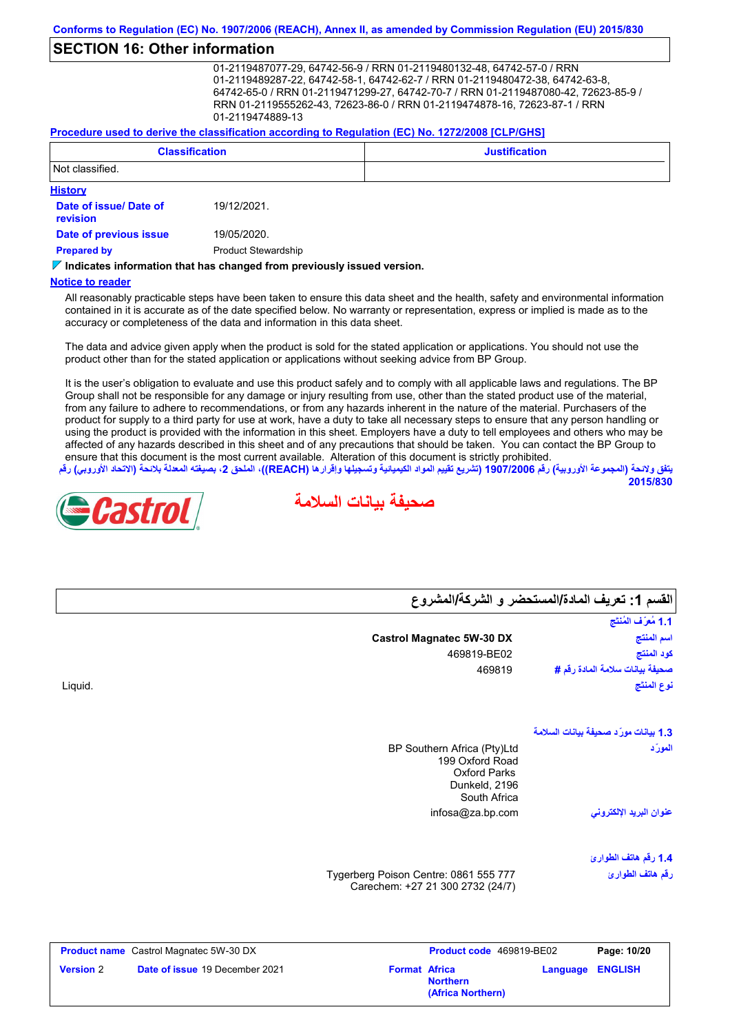#### **SECTION 16: Other information**

01-2119487077-29, 64742-56-9 / RRN 01-2119480132-48, 64742-57-0 / RRN 01-2119489287-22, 64742-58-1, 64742-62-7 / RRN 01-2119480472-38, 64742-63-8, 64742-65-0 / RRN 01-2119471299-27, 64742-70-7 / RRN 01-2119487080-42, 72623-85-9 / RRN 01-2119555262-43, 72623-86-0 / RRN 01-2119474878-16, 72623-87-1 / RRN 01-2119474889-13

#### **Procedure used to derive the classification according to Regulation (EC) No. 1272/2008 [CLP/GHS]**

|                                    | <b>Classification</b>      | <b>Justification</b> |
|------------------------------------|----------------------------|----------------------|
| Not classified.                    |                            |                      |
| <b>History</b>                     |                            |                      |
| Date of issue/ Date of<br>revision | 19/12/2021.                |                      |
| Date of previous issue             | 19/05/2020.                |                      |
| <b>Prepared by</b>                 | <b>Product Stewardship</b> |                      |

#### **Indicates information that has changed from previously issued version.**

#### **Notice to reader**

All reasonably practicable steps have been taken to ensure this data sheet and the health, safety and environmental information contained in it is accurate as of the date specified below. No warranty or representation, express or implied is made as to the accuracy or completeness of the data and information in this data sheet.

The data and advice given apply when the product is sold for the stated application or applications. You should not use the product other than for the stated application or applications without seeking advice from BP Group.

It is the user's obligation to evaluate and use this product safely and to comply with all applicable laws and regulations. The BP Group shall not be responsible for any damage or injury resulting from use, other than the stated product use of the material, from any failure to adhere to recommendations, or from any hazards inherent in the nature of the material. Purchasers of the product for supply to a third party for use at work, have a duty to take all necessary steps to ensure that any person handling or using the product is provided with the information in this sheet. Employers have a duty to tell employees and others who may be affected of any hazards described in this sheet and of any precautions that should be taken. You can contact the BP Group to ensure that this document is the most current available. Alteration of this document is strictly prohibited.

يتفق ولائحة (المجموعة الأوروبية) رقم 1907/2006 (تشريع تقييم المواد الكيميائية وتسجيلها وإقرارها (REACH)، الملحق 2، بصيغته المعدلة بلائحة (الاتحاد الأوروب*ي*) رقم **2015/830**

**صحیفة بیانات السلامة**

**القسم :1 تعریف المادة/المستحضر و الشركة/المشروع**



#### **1.3 بیانات مورِّ د صحیفة بیانات السلامة** infosa@za.bp.com **1.4 رقم ھاتف الطوارئ** Tygerberg Poison Centre: 0861 555 777 Carechem: +27 21 300 2732 (24/7) BP Southern Africa (Pty)Ltd 199 Oxford Road Oxford Parks Dunkeld, 2196 South Africa نوع ال<br>المور<u>ِّ</u><br>المورِّد **عنوان البرید الإلكتروني رقم ھاتف الطوارئ Castrol Magnatec 5W-30 DX** Liquid. 469819-BE02 469819 **اسم المنتج نوع المنتَج كود المنتج صحیفة بیانات سلامة المادة رقم #** ا**لقسم 1: تعر<br>القسم 1: تعر**<br>اسم المنتج **Product name** Castrol Magnatec 5W-30 DX **Product code** 469819-BE02 **Page: 10/20 Version** 2 **Date of issue** 19 December 2021 **Format** Africa **Northern Language ENGLISH (Africa Northern)**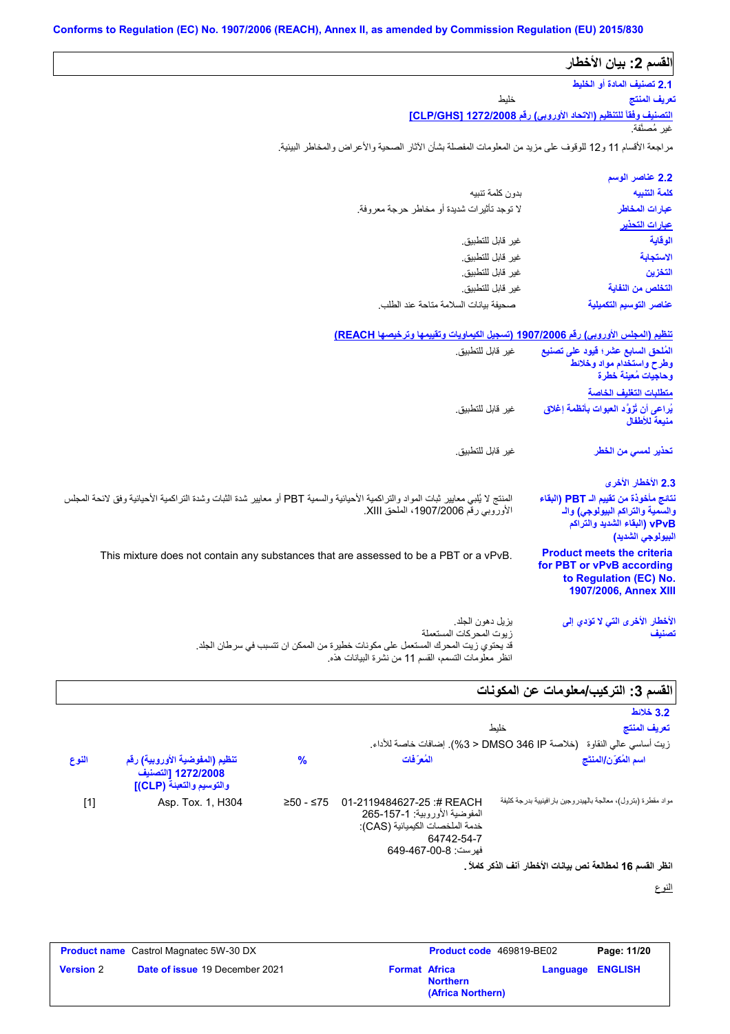| القسم 2: بيان الأخطار                                                                                                          |                                                                                                                                                                                        |
|--------------------------------------------------------------------------------------------------------------------------------|----------------------------------------------------------------------------------------------------------------------------------------------------------------------------------------|
| 2.1 تصنيف المادة أو الخليط                                                                                                     |                                                                                                                                                                                        |
| تعريف المنتج                                                                                                                   | خليط                                                                                                                                                                                   |
| <u>التصنيف وفقاً للتنظيم (الاتحاد الأوروبي) رقم CLP/GHS] 1272/2008</u><br>غير مُصنَّفة                                         |                                                                                                                                                                                        |
|                                                                                                                                |                                                                                                                                                                                        |
|                                                                                                                                | مراجعة الأقسام 11 و12 للوقوف على مزيد من المعلومات المفصلة بشأن الأثار الصحية والأعراض والمخاطر البيئية.                                                                               |
| 2.2 عناصر الوسم                                                                                                                |                                                                                                                                                                                        |
| كلمة التنبيه                                                                                                                   | بدون كلمة تنببه                                                                                                                                                                        |
| عبارات المخاطر                                                                                                                 | لا توجد تأثيرات شديدة أو مخاطر حرجة معروفة.                                                                                                                                            |
| <u>عبارات التحذير</u>                                                                                                          |                                                                                                                                                                                        |
| الوقاية                                                                                                                        | غير قابل للتطبيق.                                                                                                                                                                      |
| الاستجابة                                                                                                                      | غير قابل للتطبيق.                                                                                                                                                                      |
| التخزين                                                                                                                        | غير قابل للتطبيق.                                                                                                                                                                      |
| التخلص من النفاية                                                                                                              | غير قابل للتطبيق.                                                                                                                                                                      |
| عناصر التوسيم التكميلية                                                                                                        | صحيفة بيانات السلامة متاحة عند الطلب                                                                                                                                                   |
|                                                                                                                                | تنظيم (المجلس الأوروبي) رقم 1907/2006 (تسجيل الكيماويات وتقييمها وترخيصها REACH)                                                                                                       |
| المُلحق السابع عشر؛ فيود على تصنيع<br>وطرح واستخدام مواد وخلائط<br>وحاجيات مُعينة خطرة                                         | غير قابل للتطبيق.                                                                                                                                                                      |
| متطلبات التغليف الخاصة                                                                                                         |                                                                                                                                                                                        |
| يُراعى أن تُزوَّد العبوات بِأنظمة إغلاق<br>منبعة للأطفال                                                                       | غير قابل للتطبيق.                                                                                                                                                                      |
| تحذير لمسى من الخطر                                                                                                            | غير  قابل للتطبيق.                                                                                                                                                                     |
| 2.3 الأخطار الأخرى                                                                                                             |                                                                                                                                                                                        |
| نتائج مأخوذة من تقييم الـ PBT (البقاء<br>والسمية والتراكم البيولوجي) والـ<br>vPvB (البقاء الشديد والتراكم<br>البيولوجي الشديد) | المنتج لا يُلبي معايير ثبات المواد والتراكمية الأحيانية والسمية PBT أو معايير شدة الثبات وشدة التراكمية الأحيائية وفق لانحة المجلس<br>الأوروبي رقم 1907/2006، الملحق XIII.             |
| <b>Product meets the criteria</b><br>for PBT or vPvB according<br>to Regulation (EC) No.<br>1907/2006, Annex XIII              | This mixture does not contain any substances that are assessed to be a PBT or a vPvB.                                                                                                  |
| الأخطار الأخرى التي لا تؤدي إلى<br>تصنيف                                                                                       | يزيل دهون الجلد<br>زيوت المحركات المستعملة<br>قد يحتوي زيت المحرك المستعمل على مكونات خطيرة من الممكن ان تتسبب في سرطان الجلد.<br>انظر معلّومات التسمم، القسم 11 من نشرة البيانات هذه. |
|                                                                                                                                |                                                                                                                                                                                        |
| القسم 3: التركيب/معلومات عن المكونات<br>3.2 خلائط                                                                              |                                                                                                                                                                                        |

|                                                            |                                                                                  |               |                                                                                                                                   |      | 3.2 خلائط                                                      |
|------------------------------------------------------------|----------------------------------------------------------------------------------|---------------|-----------------------------------------------------------------------------------------------------------------------------------|------|----------------------------------------------------------------|
|                                                            |                                                                                  |               |                                                                                                                                   | خلبط | تعريف المنتج                                                   |
|                                                            |                                                                                  |               | زيت أساسي عالي النقاوة   (خلاصة DMSO 346 IP < 3%). إضافات خاصة للأداء.                                                            |      |                                                                |
| النوع                                                      | تنظيم (المفوضية الأوروبية) رقم<br>1272/2008 [التصنيف<br>والتوسيم والتعبئة (CLP)] | $\frac{9}{6}$ | المُع َفَات                                                                                                                       |      | اسم المُكوّن/المنتَج                                           |
| $[1]$                                                      | Asp. Tox. 1, H304                                                                | $≥50 - ≤75$   | 01-2119484627-25:# REACH<br>المفوضية الأوروبية: 1-157-265<br>خدمة الملخصات الكيميائية (CAS):<br>64742-54-7<br>فهرست: 8-00-649-649 |      | مواد مقطرة (بترول)، معالجة بالهيدروجين بار افينيية بدرجة كثيفة |
| انظر الفسم 16 لمطالعة نص بيانات الأخطار آنف الذكر كاملاً . |                                                                                  |               |                                                                                                                                   |      |                                                                |

النوع

| <b>Product name</b> Castrol Magnatec 5W-30 DX |                                       |                      | <b>Product code</b> 469819-BE02      |                         | Page: 11/20 |  |
|-----------------------------------------------|---------------------------------------|----------------------|--------------------------------------|-------------------------|-------------|--|
| <b>Version 2</b>                              | <b>Date of issue 19 December 2021</b> | <b>Format Africa</b> | <b>Northern</b><br>(Africa Northern) | <b>Language ENGLISH</b> |             |  |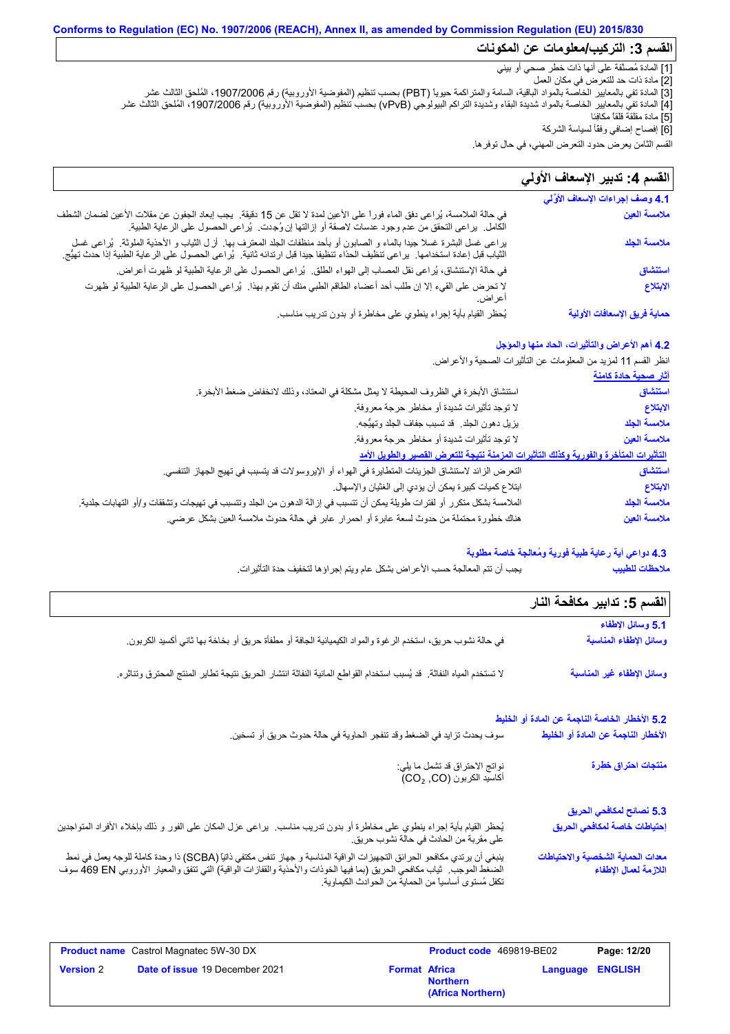#### **Conforms to Regulation (EC) No. 1907/2006 (REACH), Annex II, as amended by Commission Regulation (EU) 2015/830 القسم :3 التركیب/معلومات عن المكونات**

[1] المادة مُصنَّفة على أنھا ذات خطر صحي أو بیئي

[2] مادة ذات حد للتعرض في مكان العمل

[3] المادة تفي بالمعاییر الخاصة بالمواد الباقیة، السامة والمتراكمة حیویاً (PBT (بحسب تنظیم (المفوضیة الأوروبیة) رقم ،1907/2006 المُلحق الثالث عشر [4] المادة تفي بالمعاییر الخاصة بالمواد شدیدة البقاء وشدیدة التراكم البیولوجي (vPvB (بحسب تنظیم (المفوضیة الأوروبیة) رقم ،1907/2006 المُلحق الثالث عشر [5] مادة مقلقة قلقاً مكافِئا

[6] إفصاح إضافي وفقًأ لسیاسة الشركة

القسم الثامن یعرض حدود التعرض المھني، في حال توفرھا.

#### لا تحرض على القيء إلا إن طلب أحد أعضاء الطاقم الطبي منك أن تقوم بھذا. یُراعى الحصول على الرعایة الطبیة لو ظھرت أعراض. في حالة الملامسة، یُراعى دفق الماء فوراً على الأعین لمدة لا تقل عن 15 دقیقة. یجب إبعاد الجفون عن مقلات الأعین لضمان الشطف في حالة الملامسة، يُراعى دفق الماء فورا على الأعين لمدة لا تقل عن 15 دقيقة.<br>الكامل. يراعى التحقق من عدم وجود عدسات لاصقة أو إزالتها إن وُجِدت. يُراعى الحصول على الرعاية الطبية.<br>يراعى غسل البشرة غسلا جيدا بالماء و الصابون **4.1 وصف إجراءات الإسعاف الأوَّ لي** في حالة الإستنشاق، یُراعى نقل المصاب إلى الھواء الطلق. یُراعى الحصول على الرعایة الطبیة لو ظھرت أعراض. یُحظر القیام بأیة إجراء ینطوي على مخاطرة أو بدون تدریب مناسب. القسم **4:** تدبیر الإسعاف الأول*ى* في حالة الملامسة، يُراعى دفق الماء فوراً على الأعين لمدة لا تقل عن 15 دقيقة<sub>.</sub><br>الكامل. يراعى التحقق من عدم وجود عدسات لاصقة أو إزِ التها إن وُجِدت. يُراعى الحصول على الرعاية الطبية.<br>يراعى غسل البشرة غسلا جيدا بالماء و الص الثیاب قبل إعادة استخدامھا. یراعى تنظیف الحذاء تنظیفا جیدا قبل ارتدائھ ثانیة. یُراعى الحصول على الرعایة الطبیة إذا حدث تھیُّج. **ملامسة العین ملامسة الجلد استنشاق الابتلاع حمایة فریق الإسعافات الأولیة**

#### **4.2 أھم الأعراض والتأثیرات، الحاد منھا والمؤجل**

انظر القسم 11 لمزید من المعلومات عن التأثیرات الصحیة والأعراض.

|                                                                                                                         | <u>اثار صحية حادة كامنة</u> |
|-------------------------------------------------------------------------------------------------------------------------|-----------------------------|
| استتشاق الأبخرة في الظروف المحيطة لا يمثل مشكلة في المعتاد، وذلك لانخفاض ضغط الأبخرة.                                   | استنشاق                     |
| لا توجد تأثيرات شديدة أو مخاطر حرجة معروفة.                                                                             | الابتلاع                    |
| يزيل دهون الجلد. قد تسبب جفاف الجلد وتهيُّجه.                                                                           | ملامسة الجلد                |
| لا توجد تأثيرات شديدة أو مخاطر حرجة معروفة.                                                                             | ملامسة العين                |
| التأثيرات المتأخرة والفورية وكذلك التأثيرات المزمنة نتيجة للتعرض القصير والطويل الأمد                                   |                             |
| النعر ض الزائد لاستنشاق الجزيئات المتطايرة في الهواء أو الإيروسولات قد يتسبب في تهيج الجهاز التنفسي.                    | استنشاق                     |
| ابتلاع كميات كبيرة يمكن أن يؤدي إلى الغثيان والإسهال.                                                                   | الابتلاع                    |
| الملامسة بشكل متكرر أو لفترات طويلة يمكن أن تتسبب في إزالة الدهون من الجلد وتتسبب في تهيجات وتشققات و/أو التهابات جلدية | ملامسة الجلد                |
| هناك خطورة محتملة من حدوث لسعة عابرة أو احمرار عابر في حالة حدوث ملامسة العين بشكل عرضي.                                | ملامسة العين                |

#### **4.3 دواعي أیة رعایة طبیة فوریة ومُعالجة خاصة مطلوبة**

یجب أن تتم المعالجة حسب الأعراض بشكل عام ویتم إجراؤھا لتخفیف حدة التأثیرات. **ملاحظات للطبیب**

| الفسم 5: تدابير مكافحة النار                               |                                                                                                                                                                                                                                  |
|------------------------------------------------------------|----------------------------------------------------------------------------------------------------------------------------------------------------------------------------------------------------------------------------------|
| 5.1 وسائل الإطفاء                                          |                                                                                                                                                                                                                                  |
| وسائل الإطفاء المناسبة                                     | في حالة نشوب حريق، استخدم الرغوة والمواد الكيميائية الجافة أو مطفأة حريق أو بخاخة بها ثاني أكسيد الكربون.                                                                                                                        |
| وسائل الإطفاء غير المناسبة                                 | لا تستخدم المياه النفاثة. قد يُسبب استخدام القواطع المائية النفاثة انتشار الحريق نتيجة تطاير المنتج المحترق وتناثره.                                                                                                             |
| 5.2 الأخطار الخاصة الناجمة عن المادة أو الخليط             |                                                                                                                                                                                                                                  |
| الأخطار الناجمة عن المادة أو الخليط                        | سوف يحدث تزايد في الضغط وقد تنفجر الحاوية في حالة حدوث حريق أو تسخين.                                                                                                                                                            |
| منتجات احتراق خطِرة                                        | نواتج الاحتراق قد تشمل ما يلي:<br>أكاسيد الكربون (CO2 ,CO)                                                                                                                                                                       |
| 5.3 نصائح لمكافحي الحريق                                   |                                                                                                                                                                                                                                  |
| إحتياطات خاصة لمكافحي الحريق                               | يُحظر القيام بأية إجراء ينطوي على مخاطرة أو بدون تدريب مناسب. يراعي عزل المكان على الفور و ذلك بإخلاء الأفراد المتواجدين<br>على مقربة من الحادث في حالة نشوب حريق.                                                               |
| معدات الحماية الشخصية والاحتياطات<br>اللازمة لعمال الإطفاء | ينبغي أن يرتدي مكافحو الحرائق التجهيزات الواقية المناسبة و جهاز تنفس مكتفي ذاتيًا (SCBA) ذا وحدة كاملة للوجه يعمل في نمط<br>الضغط الموجب ـ ثياب مكافحي الحريق (بما فيها الخوذات والأحذية والقفازات الواقية) التي تتفق والمعيار ا |

| <b>Product name</b> Castrol Magnatec 5W-30 DX |                                       |                      | Product code 469819-BE02             |  | Page: 12/20             |  |
|-----------------------------------------------|---------------------------------------|----------------------|--------------------------------------|--|-------------------------|--|
| <b>Version 2</b>                              | <b>Date of issue 19 December 2021</b> | <b>Format Africa</b> | <b>Northern</b><br>(Africa Northern) |  | <b>Language ENGLISH</b> |  |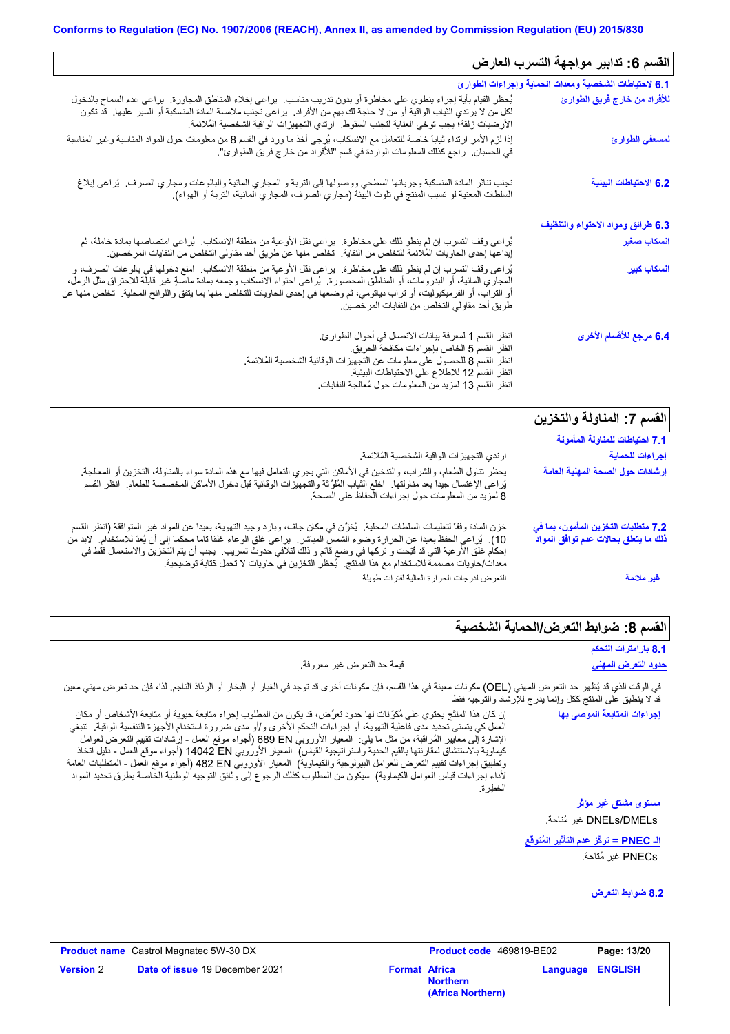| القسم 6: تدابير مواجهة التسرب العارض                                        |                                                                                                                                                                                                                                                                                                                                                                                                                                                                                    |  |
|-----------------------------------------------------------------------------|------------------------------------------------------------------------------------------------------------------------------------------------------------------------------------------------------------------------------------------------------------------------------------------------------------------------------------------------------------------------------------------------------------------------------------------------------------------------------------|--|
| 6.1 لاحتياطات الشخصية ومعدات الحماية وإجراءات الطوارئ                       |                                                                                                                                                                                                                                                                                                                                                                                                                                                                                    |  |
| للأفراد من خارج فريق الطوارئ                                                | يُحظر القيام بأية إجراء ينطوي على مخاطرة أو بدون تدريب مناسب.  يراعى إخلاء المناطق المجاورة.  يراعى عدم السماح بالدخول<br>لكل من لا يرتدي الثياب الواقية أو من لا حاجة لك بهم من الأفراد.  يراعي تجنب ملامسة المادة المنسكبة أو السير  عليها   قد تكون<br>الأرضيات زلقة؛ يجب توخي العناية لتجنب السقوط.  ارتدي التجهيزات الواقية الشخصية المُلائمة.                                                                                                                                |  |
| لمسعفي الطوارئ                                                              | إذا لزم الأمر ارتداء ثياباً خاصة للتعامل مع الانسكاب، يُرجى أخذ ما ورد في القسم 8 من معلومات حول المواد المناسبة وغير المناسبة<br>في الحسبان.  راجع كذلك المعلومات الواردة في قسم "للأفراد من خارج فريق الطوارئ".                                                                                                                                                                                                                                                                  |  |
| 6.2 الاحتياطات البينية                                                      | تجنب تناثر المادة المنسكبة وجريانها السطحي ووصولها إلى التربة و المجاري المائية والبالوعات ومجاري الصرف.  يُراعى إبلاغ<br>السلطات المعنية لو تسبب المنتج في تلوث البيئة (مجاري الصرف، المجاري المائية، التربة أو الهواء).                                                                                                                                                                                                                                                          |  |
| 6.3 طرائق ومواد الاحتواء والتنظيف                                           |                                                                                                                                                                                                                                                                                                                                                                                                                                                                                    |  |
| انسكاب صغير                                                                 | يُراعى وقف التسرب إن لم ينطو ذلك على مخاطرة.  يراعى نقل الأوعية من منطقة الانسكاب.  يُراعى امتصاصها بمادة خاملة، ثم<br>إيداعها إحدى الحاويات المُلائمة للتخلص من النفاية.  تخلص منها عن طريق أحد مقاولي التخلص من النفايات المرخصين.                                                                                                                                                                                                                                               |  |
| أنسكاب كبير                                                                 | يُراعى وقف التسرب إن لم ينطو ذلك على مخاطرة.  يراعى نقل الأوعية من منطقة الانسكاب.  امنع دخولها في بالوعات الصرف، و<br>المجاري المائية، أو البدرومات، أو المناطق المحصورة.  يُراعي احتواء الانسكاب وجمعه بمادة ماصبةٍ غير قابلة للاحتراق مثل الرمل،<br>أو التراب، أو الفرميكيوليت، أو تراب دياتومي، ثم وضعها في إحدى الحاويات للتخلص منها بما يتفق واللوائح المحلية. تخلص منها عن<br>طريق أحد مقاولي التخلص من النفايات المرخصين.                                                  |  |
| 6.4 مرجع للأقسام الأخرى                                                     | انظر القسم 1 لمعرفة بيانات الاتصال في أحوال الطوارئ.<br>انظر القسم 5 الخاص بإجراءات مكافحة الحريق.<br>انظر القسم 8 للحصول على معلومات عن التجهيزات الوقائية الشخصية المُلائمة.<br>انظر القسم 12 للاطلاع على الاحتياطات البيئية.<br>انظر القسم 13 لمزيد من المعلومات حول مُعالجة النفايات                                                                                                                                                                                           |  |
| القسم 7: المناولة والتخزين                                                  |                                                                                                                                                                                                                                                                                                                                                                                                                                                                                    |  |
| 7.1 احتياطات للمناولة المأمونة                                              |                                                                                                                                                                                                                                                                                                                                                                                                                                                                                    |  |
| إجراءات للحماية                                                             | ارتدي التجهيز ات الواقية الشخصية المُلائمة.                                                                                                                                                                                                                                                                                                                                                                                                                                        |  |
| إرشادات حول الصحة المهنية العامة                                            | يحظر تناول الطعام، والشراب، والتدخين في الأماكن التي يجري التعامل فيها مع هذه المادة سواء بالمناولة، التخزين أو المعالجة.<br>يُراعى الإغتسال جيداً بعد مناولتها ٍ اخلع الثياب المُلوَّثة والتجهيزات الوقائية قبل دخول الأماكن المخصصمة للطعام ِ انظر القسم<br>8 لمزيد من المعلومات حول إجراءات الحفاظ على الصحة.                                                                                                                                                                   |  |
| 7.2 متطلبات التخزين المأمون، بما في<br>ذلك ما يتعلق بحالات عدم توافق المواد | خزن المادة وفقاً لتعليمات السلطات المحلية.  يُخزَّن في مكان جاف، وبارد وجيد التهوية، بعيداً عن المواد غير المتوافقة (انظر القسم<br>10). يُراعى الحفظ بعيدا عن الحرارة وضوء الشمس المباشر . يراعى غلق الوعاء غلقا تاما محكما إلى أن يُعدّ للاستخدام. لابد من<br>إحكام غلق الأوعية التي قد فُتِحت و تركها في وضع قائم و ذلك لتلافي حدوث تسريب.  يجب أن يتم التخزين والاستعمال فقط في<br>معدات/حاويات مصممة للاستخدام مع هذا المنتج . يُحظر التخزين في حاويات لا تحمل كتابة توضيحية . |  |

التعرض لدرجات الحرارة العالیة لفترات طویلة **غیر ملائمة**

## **القسم :8 ضوابط التعرض/الحمایة الشخصیة**

| 8.1 بارامترات التحكم |
|----------------------|
|----------------------|

#### **حدود التعرض المھني** قیمة حد التعرض غیر معروفة.

في الوقت الذي قد یُظھر حد التعرض المھني (OEL (مكونات معینة في ھذا القسم، فإن مكونات أخرى قد توجد في الغبار أو البخار أو الرذاذ الناجم. لذا، فإن حد تعرض مھني معین قد لا ینطبق على المنتج ككل وإنما یدرج للإرشاد والتوجیھ فقط

إن كان ھذا المنتَج یحتوي على مُكوِّنات لھا حدود تعرُّض، قد یكون من المطلوب إجراء متابعة حیویة أو متابعة الأشخاص أو مكان العمل كي یتسنى تحدید مدى فاعلیة التھویة، أو إجراءات التحكم الأخرى و/أو مدى ضرورة استخدام الأجھِزة التنفسیة الواقیة. تنبغي الإشارة إلى معاییر المُراقَبة، من مثل ما یلي: المعیار الأوروبي EN 689) أجواء موقع العمل - إرشادات تقییم التعرض لعوامل كیماویة بالاستنشاق لمقارنتھا بالقیم الحدیة واستراتیجیة القیاس) المعیار الأوروبي EN 14042) أجواء موقع العمل - دلیل اتخاذ وتطبیق إجراءات تقییم التعرض للعوامل البیولوجیة والكیماویة) المعیار الأوروبي EN 482) أجواء موقع العمل - المتطلبات العامة لأداء إجراءات قیاس العوامل الكیماویة) سیكون من المطلوب كذلك الرجوع إلى وثائق التوجیھ الوطنیة الخاصة بطرق تحدید المواد الخطِرة.

DMELs/DNELs غیر مُتاحة. **مستوى مشتق غیر مؤثر**

**إجراءات المتابعة الموصى بھا**

**الـ PNEC = تركُّز عدم التأثیر المُتوقَّع** PNECs غیر مُتاحة.

**8.2 ضوابط التعرض**

|                  | <b>Product name</b> Castrol Magnatec 5W-30 DX<br><b>Product code</b> 469819-BE02 |                      | Page: 13/20                          |  |                         |
|------------------|----------------------------------------------------------------------------------|----------------------|--------------------------------------|--|-------------------------|
| <b>Version 2</b> | <b>Date of issue 19 December 2021</b>                                            | <b>Format Africa</b> | <b>Northern</b><br>(Africa Northern) |  | <b>Language ENGLISH</b> |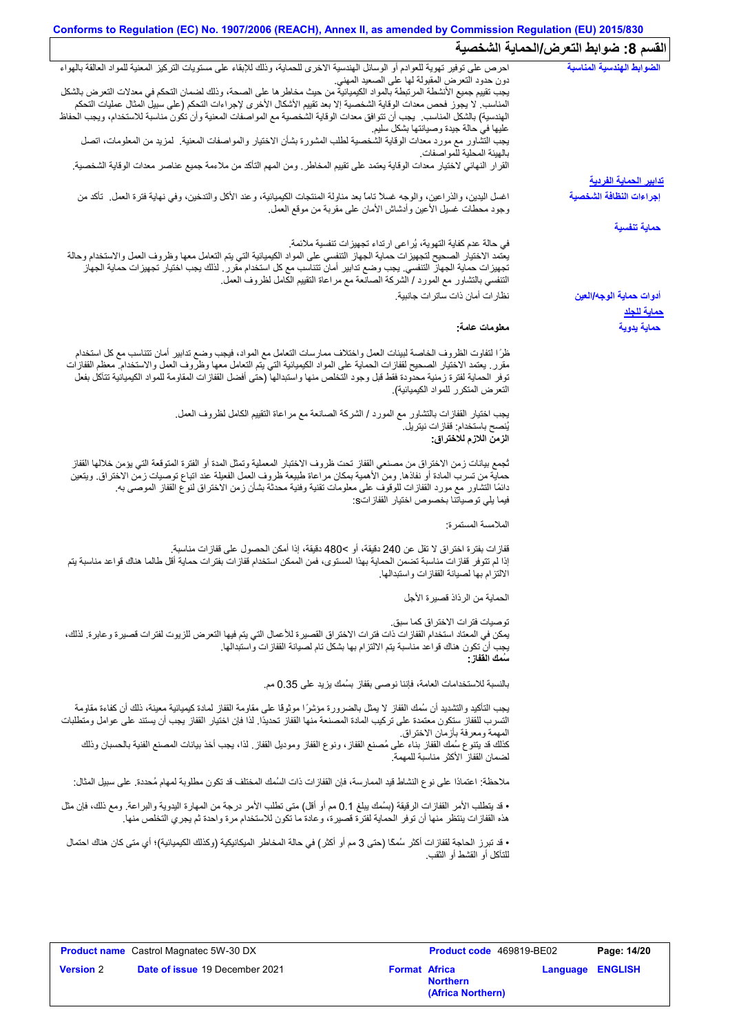## **Conforms to Regulation (EC) No. 1907/2006 (REACH), Annex II, as amended by Commission Regulation (EU) 2015/830 القسم :8 ضوابط التعرض/الحمایة الشخصیة**

|                                                                                                                                                                                                                                           | م ن. <del>–ر</del> ب– سر–ن™                   |
|-------------------------------------------------------------------------------------------------------------------------------------------------------------------------------------------------------------------------------------------|-----------------------------------------------|
| احرص على توفير تهوية للعوادم أو الوسائل الهندسية الاخرى للحماية، وذلك للإبقاء على مستويات التركيز المعنية للمواد العالقة بالهواء                                                                                                          | الضوابط الهندسية المناسبة                     |
| دون حدود النعرض المقبولة لها على الصعيد المهنى<br>يجب تقييم جميع الأنشطة المرتبطة بالمواد الكيميائية من حيث مخاطر ها على الصحة، وذلك لضمان التحكم في معدلات التعرض بالشكل                                                                 |                                               |
| المناسب لا يجوز فحص معدات الوقاية الشخصية إلا بعد تقييم الأشكال الأخرى لإجراءات التحكم (على سبيل المثال عمليات التحكم                                                                                                                     |                                               |
| الهندسية) بالشكل المناسب يجب أن تتوافق معدات الوقاية الشخصية مع المواصفات المعنية وأن تكون مناسبة للاستخدام، ويجب الحفاظ                                                                                                                  |                                               |
| عليها في حالة جيدة وصيانتها بشكل سليم<br>يجب التشاور مع مورد معدات الوقاية الشخصية لطلب المشورة بشأن الاختيار والمواصفات المعنية. لمزيد من المعلومات، اتصل<br>بالهيئة المحلية للمواصفات.                                                  |                                               |
| القرار النهائي لاختيار معدات الوقاية يعتمد على تقييم المخاطر ـ ومن المهم التأكد من ملاءمة جميع عناصر معدات الوقاية الشخصية.                                                                                                               |                                               |
|                                                                                                                                                                                                                                           | <u>تدابير الحماية الفردية</u>                 |
| اغسل اليدين، والذراعين، والوجه غسلاً تاماً بعد مناولة المنتجات الكيميائية، وعند الأكل والتدخين، وفي نهاية فترة العمل ِ تأكد من<br>وجود محطات غسلي الأعين وأدشاش الأمان على مقربة من موقع العمل                                            | إجراءات النظافة الشخصية                       |
|                                                                                                                                                                                                                                           | حماية تنفسية                                  |
| في حالة عدم كفاية التهوية، يُراعى ارتداء تجهيزات تنفسية ملائمة.                                                                                                                                                                           |                                               |
| يعتمد الاختيار الصحيح لتجهيزات حماية الجهاز التنفسي على المواد الكيميائية التي يتم التعامل معها وظروف العمل والاستخدام وحالة                                                                                                              |                                               |
| تجهيزات حماية الجهاز التنفسي. يجب وضع تدابير أمان تتناسب مع كل استخدام مقرر . لذلك يجب اختيار تجهيزات حماية الجهاز                                                                                                                        |                                               |
| التنفسي بالنشاور مع المورد / الشركة الصانعة مع مراعاة النقييم الكامل لظروف العمل.                                                                                                                                                         |                                               |
| نظار ات أمان ذات ساتر ات جانبية.                                                                                                                                                                                                          | أدوات حماية الوجه/العين<br><u>حماية للجلا</u> |
| معلومات عامة:                                                                                                                                                                                                                             | حماية يدوية                                   |
|                                                                                                                                                                                                                                           |                                               |
| ظرًا لتفاوت الظروف الخاصة لبينات العمل واختلاف ممارسات التعامل مع المواد، فيجب وضع تدابير أمان تتناسب مع كل استخدام                                                                                                                       |                                               |
| مقرر ِ يعتمد الاختيار الصحيح لقفازات الحماية على المواد الكيميائية التي يتم التعامل معها وظروف العمل والاستخدام معظم القفازات                                                                                                             |                                               |
| توفر الحماية لفترة زمنية محدودة فقط قبل وجود التخلص منها واستبدالها (حتى أفضل القفازات المقاومة للمواد الكيميائية تتآكل بفعل                                                                                                              |                                               |
| التعرض المتكرر للمواد الكيميائية)                                                                                                                                                                                                         |                                               |
| يجب اختيار القفازات بالتشاور مع المورد / الشركة الصانعة مع مراعاة التقييم الكامل لظروف العمل.                                                                                                                                             |                                               |
| يُنصح باستخدام: قفاز ات نيتريل.                                                                                                                                                                                                           |                                               |
| الزمن اللازم للاختراق:                                                                                                                                                                                                                    |                                               |
|                                                                                                                                                                                                                                           |                                               |
| ثجمع بيانات زمن الاختراق من مصنعي القفاز تحت ظروف الاختبار المعملية وتمثل المدة أو الفترة المتوقعة التي يؤمن خلالها القفاز                                                                                                                |                                               |
| حماية من تسرب المادة أو نفاذها. ومن الأهمية بمكان مراعاة طبيعة ظروف العمل الفعيلة عند اتباع توصيات زمن الاختراق. ويتعين<br>دائمًا التشاور مع مورد القفازات للوقوف على معلومات تقنية وفنية محدثة بشأن زمن الاختراق لنوع القفاز الموصىي به. |                                               |
| فيما يلي توصياتنا بخصوص اختيار القفازاتs:                                                                                                                                                                                                 |                                               |
|                                                                                                                                                                                                                                           |                                               |
| الملامسة المستمرة:                                                                                                                                                                                                                        |                                               |
| قفازات بفترة اختراق لا تقل عن 240 دقيقة، أو >480 دقيقة، إذا أمكن الحصول على قفازات مناسبة.                                                                                                                                                |                                               |
| إذا لم تتوفر قفازات مناسبة تضمن الحماية بهذا المستوى، فمن الممكن استخدام قفازات بفترات حماية أقل طالما هناك قواعد مناسبة يتم                                                                                                              |                                               |
| الالتزام بها لصيانة القفازات واستبدالها                                                                                                                                                                                                   |                                               |
| الحماية من الرذاذ قصيرة الأجل                                                                                                                                                                                                             |                                               |
|                                                                                                                                                                                                                                           |                                               |
| تو صيات فتر ات الاختر اق كما سبق.<br>يمكن في المعتاد استخدام القفازات ذات فترات الاختراق القصيرة للأعمال التي يتم فيها التعرض للزيوت لفترات قصيرة وعابرة. لذلك،                                                                           |                                               |
| يجب أن تكون هناك قواعد مناسبة يتم الالتزام بها بشكل تام لصيانة القفازات واستبدالها.                                                                                                                                                       |                                               |
| سَمك الففاز :                                                                                                                                                                                                                             |                                               |
| بالنسبة للاستخدامات العامة، فإننا نوصي بقفاز بسُمك يزيد على 0.35 مم.                                                                                                                                                                      |                                               |
|                                                                                                                                                                                                                                           |                                               |
| يجب التأكيد والتشديد أن سُمك القفاز لا يمثل بالضرورة مؤشرًا موثوڤا على مقاومة القفاز لمادة كيميائية معينة، ذلك أن كفاءة مقاومة                                                                                                            |                                               |
| التسرب للقفاز ستكون معتمدة على تركيب المادة المصنعة منها القفاز تحديدًا. لذا فإن اختيار القفاز يجب أن يستند على عوامل ومتطلبات<br>المهمة ومعرفة بأزمان الاختراق.                                                                          |                                               |
| كذلك قد ينتوع سُمك القفاز بناء على مُصنع القفاز ، ونوع القفاز وموديل القفاز ٍ لذا، يجب أخذ بيانات المصنع الفنية بالحسبان وذلك                                                                                                             |                                               |
| لضمان القفاز الأكثر مناسبة للمهمة                                                                                                                                                                                                         |                                               |
|                                                                                                                                                                                                                                           |                                               |
| ملاحظة: اعتمادًا على نوع النشاط قيد الممارسة، فإن القفازات ذات السُمك المختلف قد تكون مطلوبة لمهام مُحددة. على سبيل المثال:                                                                                                               |                                               |
| • قد يتطلب الأمر القفازات الرقيقة (بسُمك يبلغ 0.1 مم أو أقل) متى تطلب الأمر درجة من المهارة اليدوية والبراعة. ومع ذلك، فإن مثل                                                                                                            |                                               |
| هذه القفازات ينتظر منها أن توفر الحماية لفترة قصيرة، وعادة ما تكون للاستخدام مرة واحدة ثم يجري التخلص منها.                                                                                                                               |                                               |
| • قد تبرز الحاجة لقفازات أكثر سُمكًا (حتى 3 مم أو أكثر ) في حالة المخاطر الميكانيكية (وكذلك الكيميائية)؛ أي متى كان هناك احتمال                                                                                                           |                                               |
| للنَّاكل أو القشط أو الثقب.                                                                                                                                                                                                               |                                               |
|                                                                                                                                                                                                                                           |                                               |
|                                                                                                                                                                                                                                           |                                               |
|                                                                                                                                                                                                                                           |                                               |
|                                                                                                                                                                                                                                           |                                               |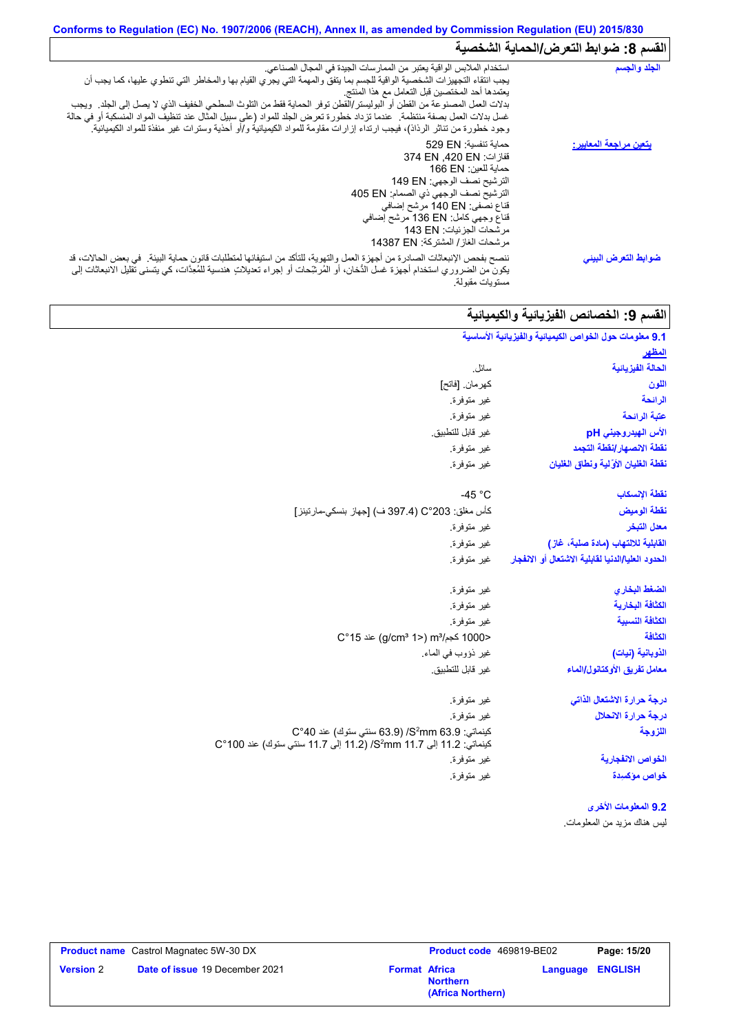## **Conforms to Regulation (EC) No. 1907/2006 (REACH), Annex II, as amended by Commission Regulation (EU) 2015/830** القسم 8: ضوابط التع*ر*ض/الحماية الشخصية

| الجلد والجسم                   | استخدام الملابس الواقية يعتبر من الممارسات الجيدة في المجال الصناعي.<br>يجب انتقاء التجهيزات الشخصية الواقية للجسم بما يتفق والمهمة التي يجري القيام بها والمخاطر التي تنطوي عليها، كما يجب أن<br>يعتمدها أحد المختصين قبل التعامل مع هذا المنتج<br>بدلات العمل المصنوعة من القطن أو البوليستر/القطن توفر الحماية فقط من التلوث السطحي الخفيف الذي لا يصل إلى الجلد ٍ ويجب<br>غسل بدلات العمل بصفة منتظمة. عندما تزداد خطورة تعرض الجلد للمواد (على سبيل المثال عند تنظيف المواد المنسكبة أو في حالة<br>وجود خطورة من تناثر الرذاذ)، فيجب ارتداء إزارات مقاومة للمواد الكيميائية و/أو أحذية وسترات غير منفذة للمواد الكيميائية <sub>.</sub> |
|--------------------------------|---------------------------------------------------------------------------------------------------------------------------------------------------------------------------------------------------------------------------------------------------------------------------------------------------------------------------------------------------------------------------------------------------------------------------------------------------------------------------------------------------------------------------------------------------------------------------------------------------------------------------------------------|
| <u>يتعين مراجعة المعايير :</u> | حماية تنفسية: 529 EN<br>قفازات: 374 EN .420 EN<br>حماية للعين: 166 EN<br>الترشيح نصف الوجهي: 149 EN<br>الترشيح نصف الوجهي ذي الصمام: 405 EN<br>قناع نصفي: 140 EN مرشح إضافي<br>قفاع وجهي كامل: 136 EN مرشح إضافي<br>مرشحات الجزئيات: 143 EN<br>مرشحات الغاز / المشتركة: 14387 EN                                                                                                                                                                                                                                                                                                                                                            |
| ضوابط التعرض البينى            | ننصح بفحص الإنبعاثات الصادرة من أجهزة العمل والتهوية، للتأكد من استيفائها لمتطلبات قانون حماية البيئة في بعض الحالات، قد<br>يكون من الضروري استخدام أجهزة غسل الدُّخان، أو المُرشِّحات أو إجراء تعديلاتٍ هندسية للمُعِدَّات، كي يتسنى تقليل الانبعاثات إلى<br>مستويات مقبولة                                                                                                                                                                                                                                                                                                                                                                |

# ا<mark>لقسم 9: الخصائص الفیزیائیة والكیمیائیة</mark>

| 9.1 معلومات حول الخواص الكيميائية والفيزيائية الأساسية |                                                                                                                                           |
|--------------------------------------------------------|-------------------------------------------------------------------------------------------------------------------------------------------|
| <u>المظهر</u>                                          |                                                                                                                                           |
| الحالة الفيزيائية                                      | سائل.                                                                                                                                     |
| اللون                                                  | كهر مان. [فاتح]                                                                                                                           |
| الرائحة                                                | غير متوفرة.                                                                                                                               |
| عتبة الرائحة                                           | غير متوفرة.                                                                                                                               |
| الأس الهيدروجيني pH                                    | غير قابل للتطبيق.                                                                                                                         |
| نفطة الانصهار إنفطة التجمد                             | غير متوفرة.                                                                                                                               |
| نقطة الغليان الأوَّلية ونطاق الغليان                   | غير متوفرة.                                                                                                                               |
| نقطة الإنسكاب                                          | -45 $^{\circ}$ C                                                                                                                          |
| نقطة الوميض                                            | كأس مغلق: 203°C (397.4 ف) [جهاز بنسكي-مارتينز]                                                                                            |
| معدل التبخر                                            | غير متوفرة.                                                                                                                               |
| القابلية للالتهاب (مادة صلبة، غاز)                     | غير متوفرة.                                                                                                                               |
| الحدود العليا/الدنيا لقابلية الاشتعال أو الانفجار      | غير متوفرة.                                                                                                                               |
| الضغط البخاري                                          | غير متوفرة.                                                                                                                               |
| الكثافة البخارية                                       | غير متوفرة.                                                                                                                               |
| الكثافة النسبية                                        | غير متوفرة.                                                                                                                               |
| الكثافة                                                | <1000 كجم/m3 (<1 g/cm3 1) عند 15°C                                                                                                        |
| الذوبانية (نبات)                                       | غير ذؤوب في الماء.                                                                                                                        |
| معامل تفريق الأوكتانول/الماء                           | غير قابل للتطبيق.                                                                                                                         |
| درجة حرارة الاشتعال الذاتى                             | غير متوفرة.                                                                                                                               |
| درجة حرارة الانحلال                                    | غير متوفرة.                                                                                                                               |
| اللزوجة                                                | كينماتي: 53.9 S <sup>2</sup> mm/ (63.9 سنتي ستوك) عند 40°C<br>كينماتي: 11.2 إلى 11.7 S <sup>2</sup> mm 11.7 إلى 11.7 سنتي ستوك) عند 100°C |
| الخواص الانفجارية                                      | غير متوفرة.                                                                                                                               |
| خواص مؤكسيدة                                           | غير متوفرة.                                                                                                                               |
| 9.2 المعلومات الأخرى                                   |                                                                                                                                           |
| ليس هناك مزيد من المعلومات.                            |                                                                                                                                           |

|                  | <b>Product name</b> Castrol Magnatec 5W-30 DX |                      | Product code 469819-BE02             |                         | Page: 15/20 |
|------------------|-----------------------------------------------|----------------------|--------------------------------------|-------------------------|-------------|
| <b>Version 2</b> | Date of issue 19 December 2021                | <b>Format Africa</b> | <b>Northern</b><br>(Africa Northern) | <b>Language ENGLISH</b> |             |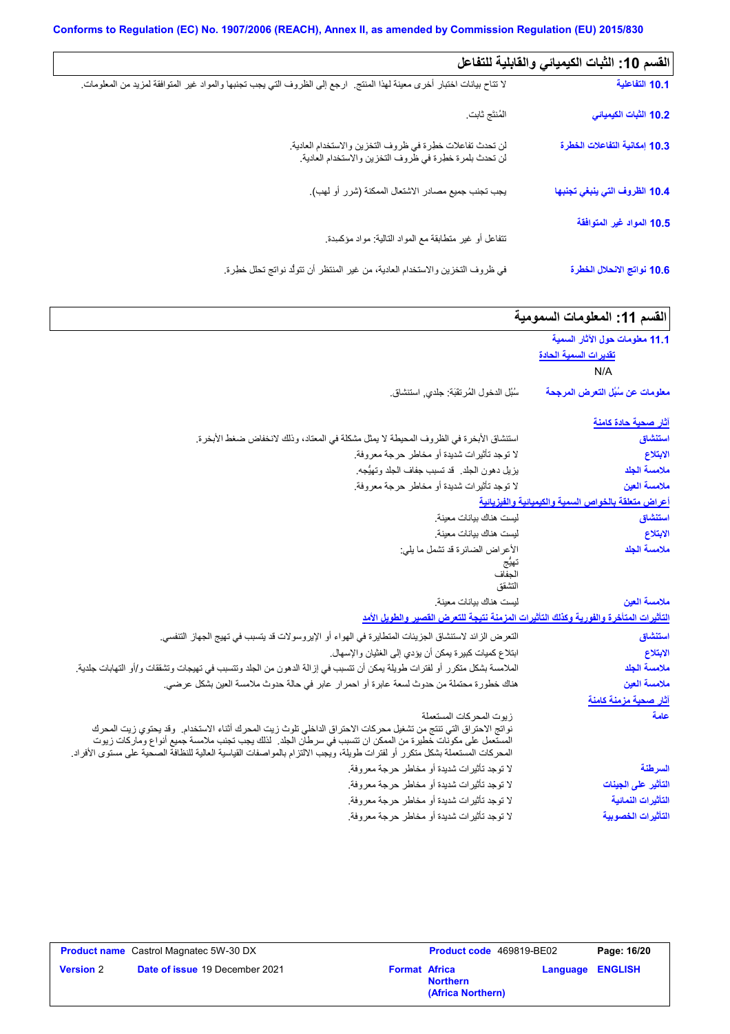$\Box$ 

| القسم 10: الثبات الكيميائي والقابلية للتفاعل |                                                                                                                           |
|----------------------------------------------|---------------------------------------------------------------------------------------------------------------------------|
| 10.1 التفاعلية                               | لا تتاح بيانات اختبار أخرى معينة لهذا المنتج   ارجع إلى الظروف التي يجب تجنبها والمواد غير المتوافقة لمزيد من المعلومات ِ |
| 10.2 الثبات الكيميائي                        | المُنتَج ثابت                                                                                                             |
| 10.3 إمكانية التفاعلات الخطرة                | لن تحدث تفاعلات خطرة في ظروف التخزين والاستخدام العادية.<br>لن تحدث بلمرة خطرة في ظروف التخزين والاستخدام العادية.        |
| 10.4 الظروف التي ينبغي تجنبها                | يجب تجنب جميع مصادر الاشتعال الممكنة (شرر أو لهب).                                                                        |
| 10.5 المواد غير المتوافقة                    |                                                                                                                           |
|                                              | نتفاعل أو غير متطابقة مع المواد التالية: مواد مؤكسدة.                                                                     |
| 10.6 نواتج الانحلال الخطرة                   | في ظروف التخزين والاستخدام العادية، من غير المنتظر أن تتولُّد نواتج تحلل خطرة.                                            |

| القسم 11: المعلومات السمومية                                   |                                                                                                                                                                                                                                                                                                                                                                                       |
|----------------------------------------------------------------|---------------------------------------------------------------------------------------------------------------------------------------------------------------------------------------------------------------------------------------------------------------------------------------------------------------------------------------------------------------------------------------|
| 11.1 معلومات حول الآثار السمية<br>تقديرات السمية الحادة<br>N/A |                                                                                                                                                                                                                                                                                                                                                                                       |
| معلومات عن سُبُل التعرض المرجحة                                | سُبُل الدخول المُرتقَبَة: جلدي, استنشاق.                                                                                                                                                                                                                                                                                                                                              |
| آثار صحبة حادة كامنة                                           |                                                                                                                                                                                                                                                                                                                                                                                       |
| استنشاق                                                        | استنشاق الأبخرة في الظروف المحيطة لا يمثل مشكلة في المعتاد، وذلك لانخفاض ضغط الأبخرة.                                                                                                                                                                                                                                                                                                 |
| الابتلاع                                                       | لا توجد تأثيرات شديدة أو مخاطر حرجة معروفة.                                                                                                                                                                                                                                                                                                                                           |
| ملامسة الجلد                                                   | يزيل دهون الجلد. قد تسبب جفاف الجلد وتهيُّجه.                                                                                                                                                                                                                                                                                                                                         |
| ملامسة العين                                                   | لا توجد تأثيرات شديدة أو مخاطر حرجة معروفة.                                                                                                                                                                                                                                                                                                                                           |
| أعراض متعلقة بالخواص السمية والكيميانية والفيزيانية            |                                                                                                                                                                                                                                                                                                                                                                                       |
| استنشاق                                                        | ليست هناك بيانات معينة                                                                                                                                                                                                                                                                                                                                                                |
| الابتلاع                                                       | ليست هناك بيانات معينة                                                                                                                                                                                                                                                                                                                                                                |
| ملامسة الجلد                                                   | الأعراض الضائرة قد تشمل ما يلي:<br>تهيج<br>الحفاف<br>التشقق                                                                                                                                                                                                                                                                                                                           |
| ملامسة العين                                                   | ليست هناك بيانات معينة                                                                                                                                                                                                                                                                                                                                                                |
|                                                                | التأثيرات المتأخرة والفورية وكذلك التأثيرات المزمنة نتيجة للتعرض الفصير والطويل الأمد                                                                                                                                                                                                                                                                                                 |
| استنشاق                                                        | النعر ض الزائد لاستنشاق الجزيئات المتطايرة في الهواء أو الإيروسولات قد يتسبب في تهيج الجهاز التنفسي.                                                                                                                                                                                                                                                                                  |
| الابتلاع                                                       | ابتلاع كميات كبيرة يمكن أن يؤدي إلى الغثيان والإسهال.                                                                                                                                                                                                                                                                                                                                 |
| ملامسة الجلد                                                   | الملامسة بشكل متكرر أو لفترات طويلة يمكن أن تتسبب في إزالة الدهون من الجلد وتتسبب في تهيجات وتشققات و/أو التهابات جلدية.                                                                                                                                                                                                                                                              |
| ملامسة العين                                                   | هناك خطورة محتملة من حدوث لسعة عابرة أو احمر ار عابر في حالة حدوث ملامسة العين بشكل عرضي.                                                                                                                                                                                                                                                                                             |
| <u>آثار صحبة مزمنة كامنة</u>                                   |                                                                                                                                                                                                                                                                                                                                                                                       |
| علمة                                                           | زيوت المحركات المستعملة<br>نواتج الاحتراق التي تنتج من تشغيل محركات الاحتراق الداخلي تلوث زيت المحرك أثناء الاستخدام ٍ وقد يحتوي زيت المحرك<br>المستعمل على مكونات خطيرة من الممكن ان تتسبب في سرطان الجلد. لذلك يجب تجنب ملامسة جميع أنواع وماركات زيوت<br>المحركات المستعملة بشكل متكرر أو لفترات طويلة، ويجب الالتزام بالمواصفات القياسية العالية للنظافة الصحية على مستوى الأفراد |
| السرطنة                                                        | لا توجد تأثيرات شديدة أو مخاطر حرجة معروفة.                                                                                                                                                                                                                                                                                                                                           |
| التأثير على الجينات                                            | لا توجد تأثيرات شديدة أو مخاطر حرجة معروفة.                                                                                                                                                                                                                                                                                                                                           |
| التأثيرات النمائية                                             | لا توجد تأثيرات شديدة أو مخاطر حرجة معروفة.                                                                                                                                                                                                                                                                                                                                           |

|                  | <b>Product name</b> Castrol Magnatec 5W-30 DX |                      | <b>Product code</b> 469819-BE02      |                         | Page: 16/20 |
|------------------|-----------------------------------------------|----------------------|--------------------------------------|-------------------------|-------------|
| <b>Version</b> 2 | <b>Date of issue 19 December 2021</b>         | <b>Format Africa</b> | <b>Northern</b><br>(Africa Northern) | <b>Language ENGLISH</b> |             |

لا توجد تأثیرات شدیدة أو مخاطر حرجة معروفة.

**التأثیرات الخصوبیة**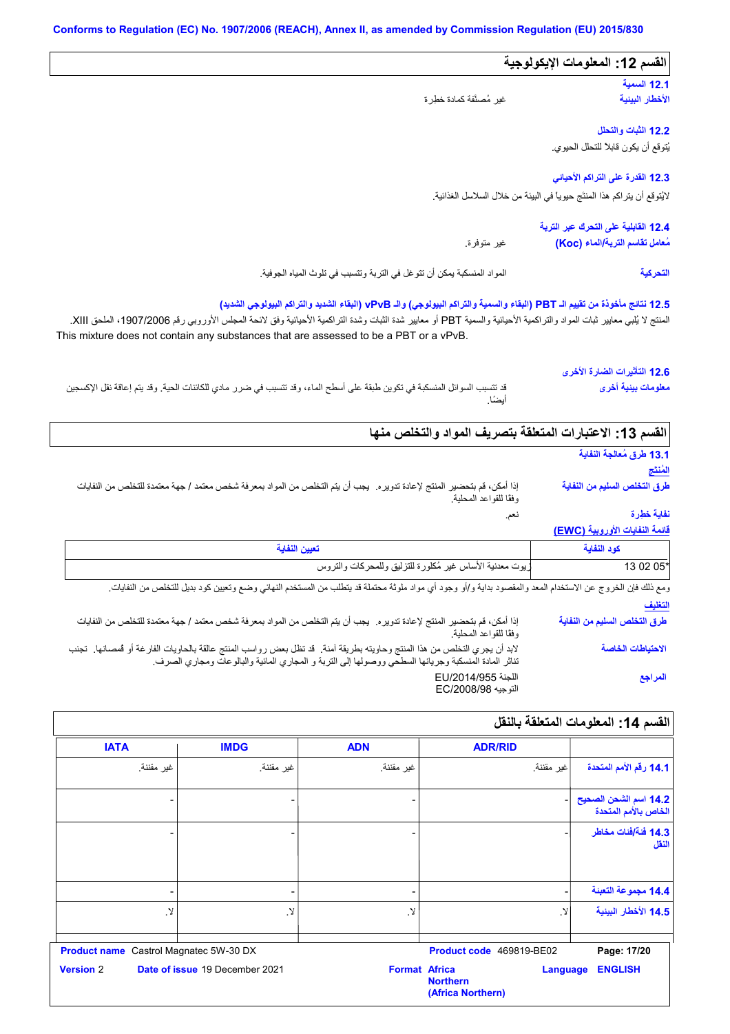| القسم 12: المعلومات الإيكولوجية                                            |                                                                                                                                                                                                                                                                                                                                                                      |
|----------------------------------------------------------------------------|----------------------------------------------------------------------------------------------------------------------------------------------------------------------------------------------------------------------------------------------------------------------------------------------------------------------------------------------------------------------|
| 12.1 السمية<br>الأخطار البينية                                             | غير مُصنَّفة كمادة خطِرة                                                                                                                                                                                                                                                                                                                                             |
|                                                                            |                                                                                                                                                                                                                                                                                                                                                                      |
| 12.2 الثبات والتحلل                                                        |                                                                                                                                                                                                                                                                                                                                                                      |
| يُتوقع أن يكون قابلاً للتحلل الحيوي.                                       |                                                                                                                                                                                                                                                                                                                                                                      |
| 12.3 القدرة على التراكم الأحياني                                           |                                                                                                                                                                                                                                                                                                                                                                      |
| لايُتوقع أن يتر اكم هذا المنتَج حيوياً في البيئة من خلال السلاسل الغذائية. |                                                                                                                                                                                                                                                                                                                                                                      |
| 12.4 القابلية على التحرك عبر التربة                                        |                                                                                                                                                                                                                                                                                                                                                                      |
| مُعامل تقاسم التربة/الماء (Koc)                                            | غير متوفرة.                                                                                                                                                                                                                                                                                                                                                          |
|                                                                            |                                                                                                                                                                                                                                                                                                                                                                      |
| التحركية                                                                   | المواد المنسكبة يمكن أن نتوغل في التربة وتتسبب في تلوث المياه الجوفية.<br>12.5 نتائج مأخوذة من تقييم الـ PBT (البقاء والسمية والتراكم البيولوجي) والـ vPvB (البقاء الشديد والتراكم البيولوجي الشديد)<br>المنتج لا يُلبي معايير ثبات المواد والتراكمية الأحيانية والسمية PBT أو معايير شدة الثنراكمية الأحيانية وفق لانحة المجلس الأوروبي رقم 1907/2006، الملحق XIII. |
| 12.6 التأثيرات الضارة الأخرى<br>معلومات بينية أخرى                         | This mixture does not contain any substances that are assessed to be a PBT or a vPvB.<br>قد تتسبب السوائل المنسكبة في تكوين طبقة على أسطح الماء، وقد تتسبب في ضرر مادي للكائنات الحية. وقد يتم إعاقة نقل الإكسجين                                                                                                                                                    |
|                                                                            | أيضًا.                                                                                                                                                                                                                                                                                                                                                               |
|                                                                            | القسم 13: الاعتبارات المتعلقة بتصريف المواد والتخلص منها                                                                                                                                                                                                                                                                                                             |
| 13.1 طرق مُعالجة النفاية                                                   |                                                                                                                                                                                                                                                                                                                                                                      |
| المُنتَج                                                                   |                                                                                                                                                                                                                                                                                                                                                                      |
| طرق التخلص السليم من النفاية                                               | إذا أمكن، قم بتحضير المنتج لإعادة تدويره.  يجب أن يتم التخلص من المواد بمعرفة شخص معتمد / جهة معتمدة للتخلص من النفايات<br>وفقًا للقواعد المحلية.                                                                                                                                                                                                                    |
| نفاية خطرة                                                                 | نعم.                                                                                                                                                                                                                                                                                                                                                                 |
| فانمة النفايات الأوروبية (EWC)                                             |                                                                                                                                                                                                                                                                                                                                                                      |
| كود النفابة<br>13 02 05*                                                   | تعيين النفاية<br>ريوت معدنية الأساس غير مُكلورة للتزليق وللمحركات والتروس                                                                                                                                                                                                                                                                                            |

| إذا أمكن، قم بتحضير المنتج لإعادة تدويره٬ يجب أن يتم التخلص من المواد بمعرفة شخص معتمد / جهة معتمدة للتخلص من النفايات<br>وفقًا للقواعد المحلية.                                                                               | طرق التخلص السليم من النفاية |
|--------------------------------------------------------------------------------------------------------------------------------------------------------------------------------------------------------------------------------|------------------------------|
| لابد أن يجري التخلص من هذا المنتج وحاويته بطريقة آمنة. قد تظل بعض رواسب المنتج عالقة بالحاويات الفارغة أو فمصانها. تجنب<br>تناثر المادة المنسكبة وجريانها السطحي ووصولها إلى التربة و المجاري المائية والبالوعات ومجاري الصرف. | الاحتياطات الخاصة            |
| اللجنة EU/2014/955<br>التوجيه EC/2008/98                                                                                                                                                                                       | المراجع                      |

| القسم 14: المعلومات المتعلقة بالنقل           |                                                         |                          |                                |                     |
|-----------------------------------------------|---------------------------------------------------------|--------------------------|--------------------------------|---------------------|
|                                               | <b>ADR/RID</b>                                          | <b>ADN</b>               | <b>IMDG</b>                    | <b>IATA</b>         |
| 14.1 رقم الأمم المتحدة                        | غير مقننة.                                              | غير مقننة.               | غير مقننة.                     | غير مقننة.          |
| 14.2 اسم الشحن الصحيح<br>الخاص بالأمم المتحدة |                                                         |                          |                                |                     |
| 14.3 فَنَةَ/فَنات مخاطر<br>النقل              |                                                         |                          |                                |                     |
| 14.4 مجموعة التعبنة                           |                                                         | $\overline{\phantom{a}}$ | ٠                              |                     |
| 14.5 الأخطار البينية                          | . Y                                                     | $\mathcal{Y}$            | Ν.                             | $\cdot$ $\!\!$      |
| Page: 17/20                                   | Product code 469819-BE02                                |                          | Castrol Magnatec 5W-30 DX      | <b>Product name</b> |
| <b>ENGLISH</b>                                | <b>Language</b><br><b>Northern</b><br>(Africa Northern) | <b>Format Africa</b>     | Date of issue 19 December 2021 | <b>Version 2</b>    |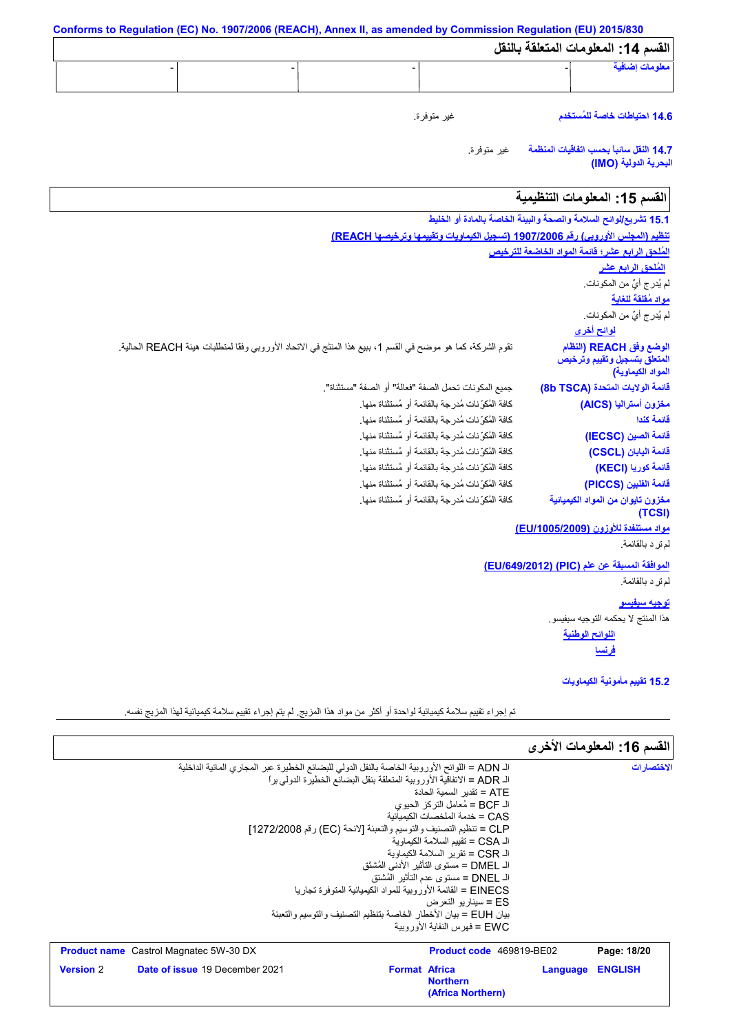| القسم 14: المعلومات المتعلقة بالنقل                                          |                                                                                                              |
|------------------------------------------------------------------------------|--------------------------------------------------------------------------------------------------------------|
| معلومات إضافية                                                               |                                                                                                              |
| 14.6 احتياطات خاصة للمُستخدم                                                 | غير متوفرة.                                                                                                  |
| 14.7 النفل سانبأ بحسب اتفاقيات المنظمة<br>البحرية الدولية (IMO)              | غير متوفرة.                                                                                                  |
| القسم 15: المعلومات التنظيمية                                                |                                                                                                              |
| 15.1 تشريع/لوائح السلامة والصحة والبيئة الخاصة بالمادة أو الخليط             |                                                                                                              |
|                                                                              | تنظيم (المجلس الأوروبي) رقم 1907/2006 (تسجيل الكيماويات وتقييمها وترخيصها REACH)                             |
| المُلحق الرابع عشر؛ فَانمة المواد الخاضعة للترخيص                            |                                                                                                              |
| <u>المُلحق الرابع عشر</u>                                                    |                                                                                                              |
| لم يُدر ج أيٌّ من المكونات.                                                  |                                                                                                              |
| مواد مُقلقة للغاية                                                           |                                                                                                              |
| لم يُدر ج أيٌّ من المكونات.                                                  |                                                                                                              |
| <u>لوائح أخرى</u>                                                            |                                                                                                              |
| الوضع وفق REACH (النظام<br>المتعلق بتسجيل وتقييم وترخيص<br>المواد الكيماوية) | تقوم الشركة، كما هو موضح في القسم 1، ببيع هذا المنتَج في الاتحاد الأوروبي وفقًا لمتطلبات هيئة REACH الحالية. |
| فَانمة الولايات المتحدة (8b TSCA)                                            | جميع المكونات تحمل الصفة "فعالة" أو الصفة "مستثناة".                                                         |
| مخزون أستراليا (AICS)                                                        | كافة المُكوِّ نات مُدرِ جة بالقائمة أو مُستثناة منها.                                                        |
| فائمة كندا                                                                   | كافة المُكوِّ نات مُدرِ جة بالقائمة أو مُستثناة منها.                                                        |
| فَائِمة الصين (IECSC)                                                        | كافة المُكوِّ نات مُدرِ جة بالقائمة أو مُستثناة منها.                                                        |
| فَانمة البابان (CSCL)                                                        | كافة المُكوِّ نات مُدرِ جة بالقائمة أو مُستثناة منها.                                                        |
| فَائمة كوريا (KECI)                                                          | كافة المُكوِّ نات مُدرِ جة بالقائمة أو مُستثناة منها.                                                        |
| فَائمة الفلبين (PICCS)                                                       | كافة المُكوِّ نات مُدرِ جة بالقائمة أو مُستثناة منها.                                                        |
| مخزون تايوان من المواد الكيميائية<br>(TCSI)                                  | كافة المُكوِّ نات مُدرِ جة بالقائمة أو مُستثناة منها.                                                        |
| مواد مستنفدة للأوزون (EU/1005/2009)                                          |                                                                                                              |
| لم تر د بالقائمة.                                                            |                                                                                                              |
| الموافقة المسبقة عن علم (PIC) (EU/649/2012)                                  |                                                                                                              |
| لم نر د بالقائمة.                                                            |                                                                                                              |
| <u>توجيه سيفيسو</u>                                                          |                                                                                                              |
| هذا المنتج لا يحكمه التوجيه سيفيسو .                                         |                                                                                                              |
| اللوائح الوطنية                                                              |                                                                                                              |
| <u>فرنسا</u>                                                                 |                                                                                                              |
|                                                                              |                                                                                                              |
| 15.2 نقييم مأمونية الكيماويات                                                |                                                                                                              |

تم إجراء تقییم سلامة كیمیائیة لواحدة أو أكثر من مواد ھذا المزیج. لم یتم إجراء تقییم سلامة كیمیائیة لھذا المزیج نفسھ.

|                                                                                                                                                                   |                      |                                                                                                                                                                                                                                                                                                                                                                                                                                                                                                                                              |          | القسم 16: المعلومات الأخرى |
|-------------------------------------------------------------------------------------------------------------------------------------------------------------------|----------------------|----------------------------------------------------------------------------------------------------------------------------------------------------------------------------------------------------------------------------------------------------------------------------------------------------------------------------------------------------------------------------------------------------------------------------------------------------------------------------------------------------------------------------------------------|----------|----------------------------|
| الـ ADN = اللوائح الأوروبية الخاصة بالنقل الدولي للبضائع الخطيرة عبر المجاري المائية الداخلية<br>CLP = تنظيم التصنيف والتوسيم والتعبئة [لائحة (EC) رقم 1272/2008] |                      | الـ ADR = الاتفاقية الأور وبية المتعلقة بنقل البضائع الخطير ة الدولي بر ا<br>ATE = تقدبر   السمبة الحادة<br>الـ BCF = مُعامل التركز  الحيو ي<br>CAS = خدمة الملخصات الكىمىائية<br>الـ CSA = تقييم السلامة الكيماوية<br>الـ CSR = تقرير السلامة الكيماوية<br>الـ DMEL = مستوى التأثير  الأدنى المُشتَق<br>الـ DNEL = مستوى عدم التأثير  المُشتق<br>EINECS = القائمة الأور وبية للمواد الكيميائية المتوفر ة تجار با<br>ES = سينار يو التعرض<br>بيان EUH = بيان الأخطار الخاصة بتنظيم التصنيف والتوسيم والتعبئة<br>FWC = فهرس النفاية الأورويية |          | الاختصار ات                |
| <b>Product name</b> Castrol Magnatec 5W-30 DX                                                                                                                     |                      | <b>Product code</b> 469819-BE02                                                                                                                                                                                                                                                                                                                                                                                                                                                                                                              |          | Page: 18/20                |
| Date of issue 19 December 2021<br><b>Version 2</b>                                                                                                                | <b>Format Africa</b> | <b>Northern</b><br>(Africa Northern)                                                                                                                                                                                                                                                                                                                                                                                                                                                                                                         | Language | <b>ENGLISH</b>             |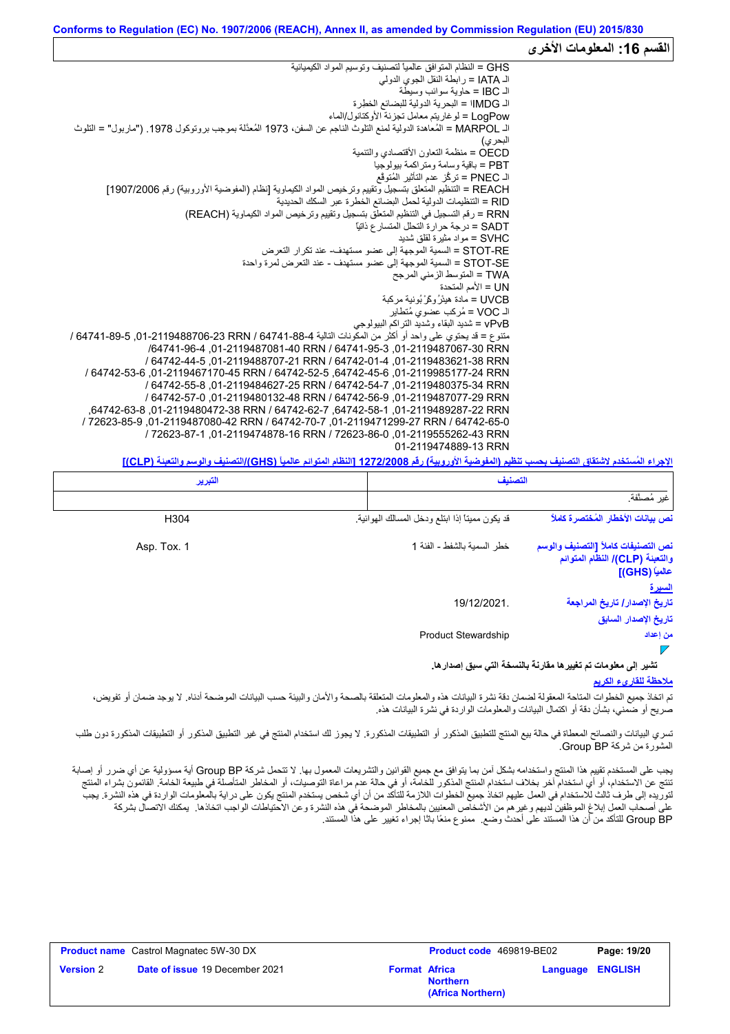|                                                                                                                    | المعلومات الاخرى |
|--------------------------------------------------------------------------------------------------------------------|------------------|
| GHS = النظام المتوافق عالمياً لتصنيف وتوسيم المواد الكيميائية                                                      |                  |
| الـ IATA = ر ابطة النقل الجوى الدولي                                                                               |                  |
| الـ IBC = حاوية سوائب وسيطة                                                                                        |                  |
| الـ MDG   = البحرية الدولية للبضائع الخطِرة                                                                        |                  |
| LogPow = لو غاريتم معامل تجزئة الأوكتانول/الماء                                                                    |                  |
| اك MARPOL = المُعاهدة الدولية لمنع التلوث الناجم عن السفن، 1973 المُعدَّلة بموجب بروتوكول 1978. ("ماربول" = التلوث |                  |
| البحر ي)                                                                                                           |                  |
| OECD = منظمة التعاون الأقتصادي والتنمية                                                                            |                  |
| PBT = باقية وسامة ومتر اكمة بيولوجيا                                                                               |                  |
| الـ PNEC = تركُّز عدم التأثير المُتوقَّع                                                                           |                  |
| REACH = التنظيم المتعلق بتسجيل وتقييم وترخيص المواد الكيماوية [نظام (المفوضية الأوروبية) رقم 1907/2006]            |                  |
| RID = التنظيمات الدولية لحمل البضائع الخطرة عبر السكك الحديدية                                                     |                  |
| RRN = رقم التسجيل في التنظيم المتعلق بتسجيل وتقييم وترخيص المواد الكيماوية (REACH)                                 |                  |
| SADT = در جة حر ار ة التحلل المتسار ع ذاتيًّا                                                                      |                  |
| SVHC = مو اد مثير ة لقلق شديد                                                                                      |                  |
| STOT-RE = السمية الموجهة إلى عضو مستهدف- عند تكر ار التعرض                                                         |                  |
| STOT-SE = السمية الموجهة إلى عضو مستهدف - عند التعرض لمرة واحدة                                                    |                  |
| TWA = المتوسط الزمني المرجح                                                                                        |                  |
| UN = الأمم المتحدة                                                                                                 |                  |
| UVCB = مادة هيئرُ وكَرْ بُونية مركبة                                                                               |                  |
| الـ VOC = مُركب عضوى مُتطاير                                                                                       |                  |
| vPvB = شديد البقاء وشديد التراكم البيولوجي                                                                         |                  |
| منتوع = قد يحتوي على واحد أو أكثر من المكونات النالية 4-88-64741 / 64741-88-706-101-1048 / 64741-89-               |                  |
| /64741-96-3 01-2119487081-40 RRN / 64741-95-3 01-2119487067-30 RRN                                                 |                  |
| / 64742-44-5 .01-2119488707-21 RRN / 64742-01-4 .01-2119483621-38 RRN                                              |                  |
| / 64742-53-64742-45-01. 64742-45-6. 64742-52-5. 64742-45-6. 01-2119467170-45 RRN                                   |                  |
| / 64742-55-8.01-2119484627-25 RRN / 64742-54-7.01-2119480375-34 RRN                                                |                  |
| / 64742-57-0.01-2119480132-48 RRN / 64742-56-9.01-2119487077-29 RRN                                                |                  |
| .64742-63-828742-119489287-22 RRN / 64742-62-7 .64742-58-1.01-2119489287-22 RRN                                    |                  |
| / 72623-85-9.01-2119487080-42 RRN / 64742-70-7 ,01-2119471299-27 RRN / 64742-65-0                                  |                  |
| / 72623-87-1.01-2119474878-16 RRN / 72623-86-0 .01-2119555262-43 RRN                                               |                  |
| 01-2119474889-13 RRN                                                                                               |                  |

**الإجراء المُستخدم لاشتقاق التصنیف بحسب تنظیم (المفوضیة الأوروبیة) رقم 1272/2008 [النظام المتوائم عالمیاً (GHS(/التصنیف والوسم والتعبئة (CLP[(**

|                                                                                                          | التصنيف                                        | التبرير     |
|----------------------------------------------------------------------------------------------------------|------------------------------------------------|-------------|
| غير مُصنَّفة.                                                                                            |                                                |             |
| نص بيانات الأخطار المُختصرة كاملاً                                                                       | قد يكون مميناً إذا ابتلع ودخل المسالك الهوائية | H304        |
| نص التصنيفات كاملأ [التصنيف والوسم<br>والتعبنة (CLP)/ النظام المتوائم<br>عالمياً (GHS)]<br><u>السيرة</u> | خطر السمية بالشفط - الفئة 1                    | Asp. Tox. 1 |
| تاريخ الإصدار / تاريخ المراجعة<br>تاريخ الإصدار السابق                                                   | 19/12/2021.                                    |             |
| من إعداد                                                                                                 | <b>Product Stewardship</b>                     |             |
| تشير إلى معلومات تم تغيير ها مقارنة بالنسخة التي سبق إصدار ها.                                           |                                                |             |

#### **ملاحظة للقاريء الكریم**

الق*س*م 16:

تم اتخاذ جمیع الخطوات المتاحة المعقولة لضمان دقة نشرة البیانات ھذه والمعلومات المتعلقة بالصحة والأمان والبیئة حسب البیانات الموضحة أدناه. لا یوجد ضمان أو تفویض، صریح أو ضمني، بشأن دقة أو اكتمال البیانات والمعلومات الواردة في نشرة البیانات ھذه.

تسري البيانات والنصائح المعطاة في حالة بيع المنتج للتطبيق المذكورة. لا يجوز لك استخدام المنتج في غير التطبيق المذكور أو التطبيقات المذكورة دون طلب المشورة من شركة BP Group.

یجب على المستخدم تقییم ھذا المنتج واستخدامھ بشكل آمن بما یتوافق مع جمیع القوانین والتشریعات المعمول بھا. لا تتحمل شركة BP Group أیة مسؤولیة عن أي ضرر أو إصابة تنتج عن الاستخدام، أو أي استخدام آخر بخلاف استخدام المنتج المذكور للخامة، أو في حالة علم مراعاة التوصيات، أو المخاطر المتأصلة في طبیعة الخامة. القائمون بشراء المنتج لتوریده إلى طرف ثالث للاستخدام في العمل علیهم اتخاذ جمیع الخطوات اللازمة للتأكد من أن شخص یستخدم المنتج یكون على درایة بالمعلومات الواردة في هذه النشرة. یجب على أصحاب العمل إبلاغ الموظفین لدیھم وغیرھم من الأشخاص المعنیین بالمخاطر الموضحة في ھذه النشرة وعن الاحتیاطات الواجب اتخاذھا. یمكنك الاتصال بشركة BP Group للتأكد من أن ھذا المستند على أحدث وضع. ممنوع منعًا باتًا إجراء تغییر على ھذا المستند.

| <b>Product name</b> Castrol Magnatec 5W-30 DX |                                       |                      | Product code 469819-BE02             |                         | Page: 19/20 |
|-----------------------------------------------|---------------------------------------|----------------------|--------------------------------------|-------------------------|-------------|
| <b>Version 2</b>                              | <b>Date of issue 19 December 2021</b> | <b>Format Africa</b> | <b>Northern</b><br>(Africa Northern) | <b>Language ENGLISH</b> |             |